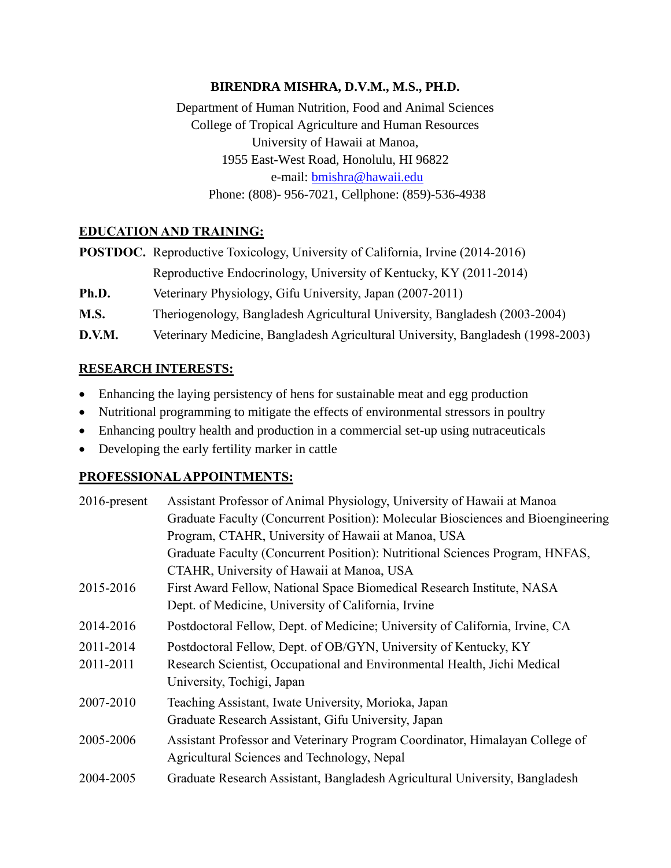### **BIRENDRA MISHRA, D.V.M., M.S., PH.D.**

Department of Human Nutrition, Food and Animal Sciences College of Tropical Agriculture and Human Resources University of Hawaii at Manoa, 1955 East-West Road, Honolulu, HI 96822 e-mail: [bmishra@hawaii.edu](mailto:bmishra@hawaii.edu) Phone: (808)- 956-7021, Cellphone: (859)-536-4938

### **EDUCATION AND TRAINING:**

|        | <b>POSTDOC.</b> Reproductive Toxicology, University of California, Irvine (2014-2016) |
|--------|---------------------------------------------------------------------------------------|
|        | Reproductive Endocrinology, University of Kentucky, KY (2011-2014)                    |
| Ph.D.  | Veterinary Physiology, Gifu University, Japan (2007-2011)                             |
| M.S.   | Theriogenology, Bangladesh Agricultural University, Bangladesh (2003-2004)            |
| D.V.M. | Veterinary Medicine, Bangladesh Agricultural University, Bangladesh (1998-2003)       |

### **RESEARCH INTERESTS:**

- Enhancing the laying persistency of hens for sustainable meat and egg production
- Nutritional programming to mitigate the effects of environmental stressors in poultry
- Enhancing poultry health and production in a commercial set-up using nutraceuticals
- Developing the early fertility marker in cattle

### **PROFESSIONAL APPOINTMENTS:**

| $2016$ -present | Assistant Professor of Animal Physiology, University of Hawaii at Manoa          |
|-----------------|----------------------------------------------------------------------------------|
|                 | Graduate Faculty (Concurrent Position): Molecular Biosciences and Bioengineering |
|                 | Program, CTAHR, University of Hawaii at Manoa, USA                               |
|                 | Graduate Faculty (Concurrent Position): Nutritional Sciences Program, HNFAS,     |
|                 | CTAHR, University of Hawaii at Manoa, USA                                        |
| 2015-2016       | First Award Fellow, National Space Biomedical Research Institute, NASA           |
|                 | Dept. of Medicine, University of California, Irvine                              |
| 2014-2016       | Postdoctoral Fellow, Dept. of Medicine; University of California, Irvine, CA     |
| 2011-2014       | Postdoctoral Fellow, Dept. of OB/GYN, University of Kentucky, KY                 |
| 2011-2011       | Research Scientist, Occupational and Environmental Health, Jichi Medical         |
|                 | University, Tochigi, Japan                                                       |
| 2007-2010       | Teaching Assistant, Iwate University, Morioka, Japan                             |
|                 | Graduate Research Assistant, Gifu University, Japan                              |
| 2005-2006       | Assistant Professor and Veterinary Program Coordinator, Himalayan College of     |
|                 | Agricultural Sciences and Technology, Nepal                                      |
| 2004-2005       | Graduate Research Assistant, Bangladesh Agricultural University, Bangladesh      |
|                 |                                                                                  |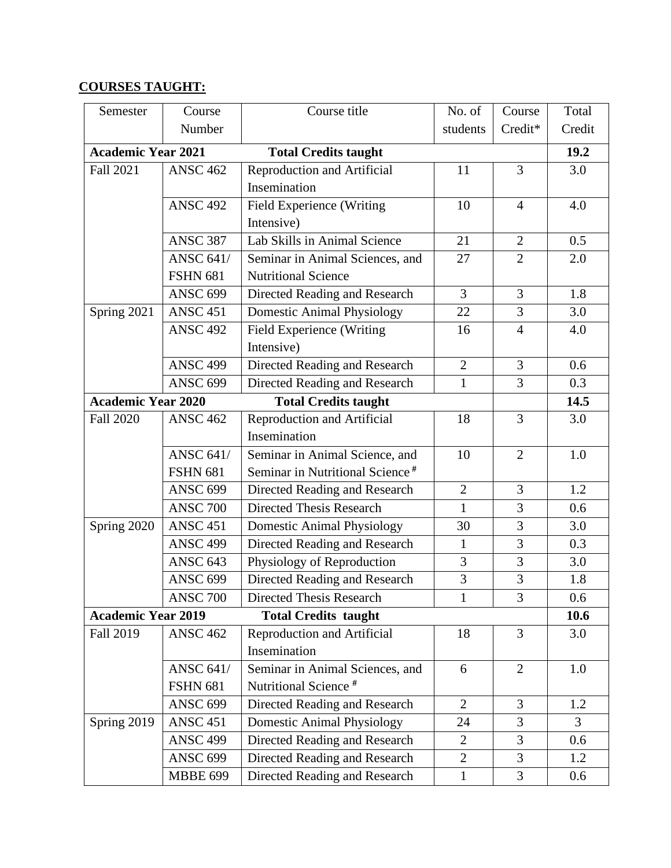# **COURSES TAUGHT:**

| Semester                  | Course           | Course title                                | No. of         | Course         | Total  |
|---------------------------|------------------|---------------------------------------------|----------------|----------------|--------|
|                           | Number           |                                             | students       | Credit*        | Credit |
| <b>Academic Year 2021</b> |                  | <b>Total Credits taught</b>                 |                |                | 19.2   |
| <b>Fall 2021</b>          | <b>ANSC 462</b>  | <b>Reproduction and Artificial</b>          | 11             | 3              | 3.0    |
|                           |                  | Insemination                                |                |                |        |
| <b>ANSC 492</b>           |                  | Field Experience (Writing                   | 10             | $\overline{4}$ | 4.0    |
|                           |                  | Intensive)                                  |                |                |        |
|                           | <b>ANSC 387</b>  | Lab Skills in Animal Science                | 21             | $\overline{2}$ | 0.5    |
|                           | <b>ANSC 641/</b> | Seminar in Animal Sciences, and             | 27             | $\overline{2}$ | 2.0    |
|                           | <b>FSHN 681</b>  | <b>Nutritional Science</b>                  |                |                |        |
|                           | <b>ANSC 699</b>  | Directed Reading and Research               | 3              | 3              | 1.8    |
| Spring 2021               | <b>ANSC 451</b>  | <b>Domestic Animal Physiology</b>           | 22             | 3              | 3.0    |
|                           | <b>ANSC 492</b>  | Field Experience (Writing                   | 16             | $\overline{4}$ | 4.0    |
|                           |                  | Intensive)                                  |                |                |        |
|                           | <b>ANSC 499</b>  | Directed Reading and Research               | $\overline{2}$ | 3              | 0.6    |
|                           | <b>ANSC 699</b>  | Directed Reading and Research               | $\mathbf{1}$   | 3              | 0.3    |
| <b>Academic Year 2020</b> |                  | <b>Total Credits taught</b>                 |                |                | 14.5   |
| <b>Fall 2020</b>          | <b>ANSC 462</b>  | Reproduction and Artificial                 | 18             | 3              | 3.0    |
|                           |                  | Insemination                                |                |                |        |
|                           | <b>ANSC 641/</b> | Seminar in Animal Science, and              | 10             | $\overline{2}$ | 1.0    |
|                           | <b>FSHN 681</b>  | Seminar in Nutritional Science <sup>#</sup> |                |                |        |
|                           | <b>ANSC 699</b>  | Directed Reading and Research               | $\overline{2}$ | 3              | 1.2    |
|                           | <b>ANSC 700</b>  | <b>Directed Thesis Research</b>             | $\mathbf{1}$   | 3              | 0.6    |
| Spring 2020               | <b>ANSC 451</b>  | <b>Domestic Animal Physiology</b>           | 30             | 3              | 3.0    |
|                           | <b>ANSC 499</b>  | Directed Reading and Research               | $\mathbf{1}$   | 3              | 0.3    |
|                           | <b>ANSC 643</b>  | Physiology of Reproduction                  | 3              | 3              | 3.0    |
|                           | <b>ANSC 699</b>  | Directed Reading and Research               | 3              | 3              | 1.8    |
|                           | <b>ANSC 700</b>  | Directed Thesis Research                    | 1              | 3              | 0.6    |
| <b>Academic Year 2019</b> |                  | <b>Total Credits taught</b>                 |                |                | 10.6   |
| <b>Fall 2019</b>          | <b>ANSC 462</b>  | Reproduction and Artificial                 | 18             | 3              | 3.0    |
|                           |                  | Insemination                                |                |                |        |
|                           | <b>ANSC 641/</b> | Seminar in Animal Sciences, and             | 6              | $\overline{2}$ | 1.0    |
|                           | <b>FSHN 681</b>  | Nutritional Science <sup>#</sup>            |                |                |        |
|                           | <b>ANSC 699</b>  | Directed Reading and Research               | $\overline{2}$ | $\overline{3}$ | 1.2    |
| Spring 2019               | <b>ANSC 451</b>  | <b>Domestic Animal Physiology</b>           | 24             | 3              | 3      |
|                           | <b>ANSC 499</b>  | Directed Reading and Research               | $\overline{2}$ | 3              | 0.6    |
|                           | <b>ANSC 699</b>  | Directed Reading and Research               | $\overline{2}$ | 3              | 1.2    |
|                           | <b>MBBE 699</b>  | Directed Reading and Research               | $\mathbf{1}$   | 3              | 0.6    |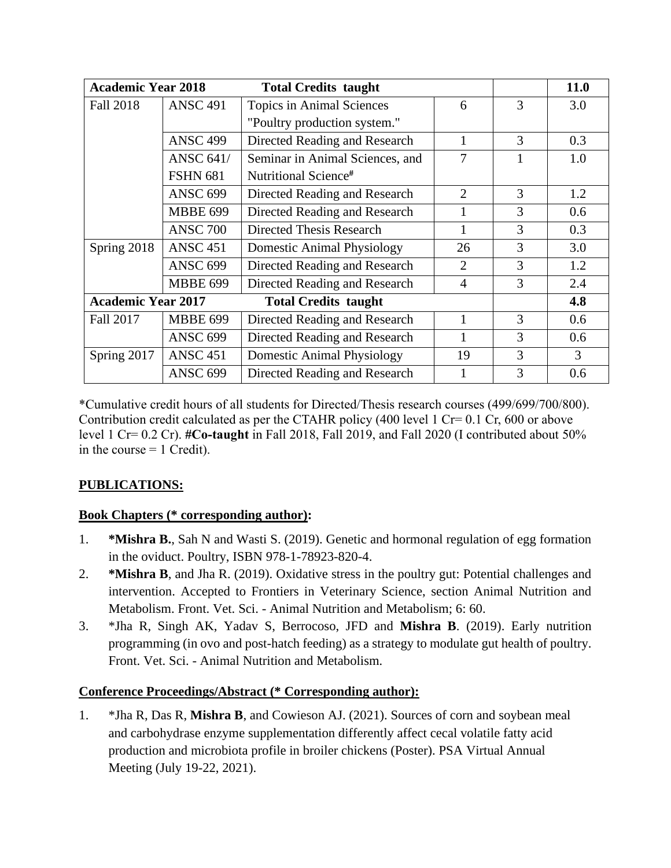| <b>Academic Year 2018</b> |                  | <b>Total Credits taught</b>       |                |   | 11.0 |
|---------------------------|------------------|-----------------------------------|----------------|---|------|
| Fall 2018                 | <b>ANSC 491</b>  | <b>Topics in Animal Sciences</b>  | 6              | 3 | 3.0  |
|                           |                  | "Poultry production system."      |                |   |      |
|                           | <b>ANSC 499</b>  | Directed Reading and Research     | 1              | 3 | 0.3  |
|                           | <b>ANSC 641/</b> | Seminar in Animal Sciences, and   | 7              |   | 1.0  |
|                           | <b>FSHN 681</b>  | Nutritional Science <sup>#</sup>  |                |   |      |
|                           | <b>ANSC 699</b>  | Directed Reading and Research     | $\overline{2}$ | 3 | 1.2  |
|                           | <b>MBBE 699</b>  | Directed Reading and Research     |                | 3 | 0.6  |
|                           | <b>ANSC 700</b>  | Directed Thesis Research          |                | 3 | 0.3  |
| Spring 2018               | <b>ANSC 451</b>  | <b>Domestic Animal Physiology</b> | 26             | 3 | 3.0  |
|                           | <b>ANSC 699</b>  | Directed Reading and Research     | 2              | 3 | 1.2  |
|                           | <b>MBBE 699</b>  | Directed Reading and Research     | $\overline{4}$ | 3 | 2.4  |
| <b>Academic Year 2017</b> |                  | <b>Total Credits taught</b>       |                |   | 4.8  |
| Fall 2017                 | <b>MBBE 699</b>  | Directed Reading and Research     | 1              | 3 | 0.6  |
|                           | <b>ANSC 699</b>  | Directed Reading and Research     | 1              | 3 | 0.6  |
| Spring 2017               | <b>ANSC 451</b>  | <b>Domestic Animal Physiology</b> | 19             | 3 | 3    |
|                           | <b>ANSC 699</b>  | Directed Reading and Research     |                | 3 | 0.6  |

\*Cumulative credit hours of all students for Directed/Thesis research courses (499/699/700/800). Contribution credit calculated as per the CTAHR policy (400 level 1 Cr=  $0.1$  Cr, 600 or above level 1 Cr= 0.2 Cr). **#Co-taught** in Fall 2018, Fall 2019, and Fall 2020 (I contributed about 50% in the course  $= 1$  Credit).

# **PUBLICATIONS:**

# **Book Chapters (\* corresponding author):**

- 1. **\*Mishra B.**, Sah N and Wasti S. (2019). Genetic and hormonal regulation of egg formation in the oviduct. Poultry, ISBN 978-1-78923-820-4.
- 2. **\*Mishra B**, and Jha R. (2019). Oxidative stress in the poultry gut: Potential challenges and intervention. Accepted to Frontiers in Veterinary Science, section Animal Nutrition and Metabolism. Front. Vet. Sci. - Animal Nutrition and Metabolism; 6: 60.
- 3. \*Jha R, Singh AK, Yadav S, Berrocoso, JFD and **Mishra B**. (2019). Early nutrition programming (in ovo and post-hatch feeding) as a strategy to modulate gut health of poultry. Front. Vet. Sci. - Animal Nutrition and Metabolism*.*

# **Conference Proceedings/Abstract (\* Corresponding author):**

1. \*Jha R, Das R, **Mishra B**, and Cowieson AJ. (2021). Sources of corn and soybean meal and carbohydrase enzyme supplementation differently affect cecal volatile fatty acid production and microbiota profile in broiler chickens (Poster). PSA Virtual Annual Meeting (July 19-22, 2021).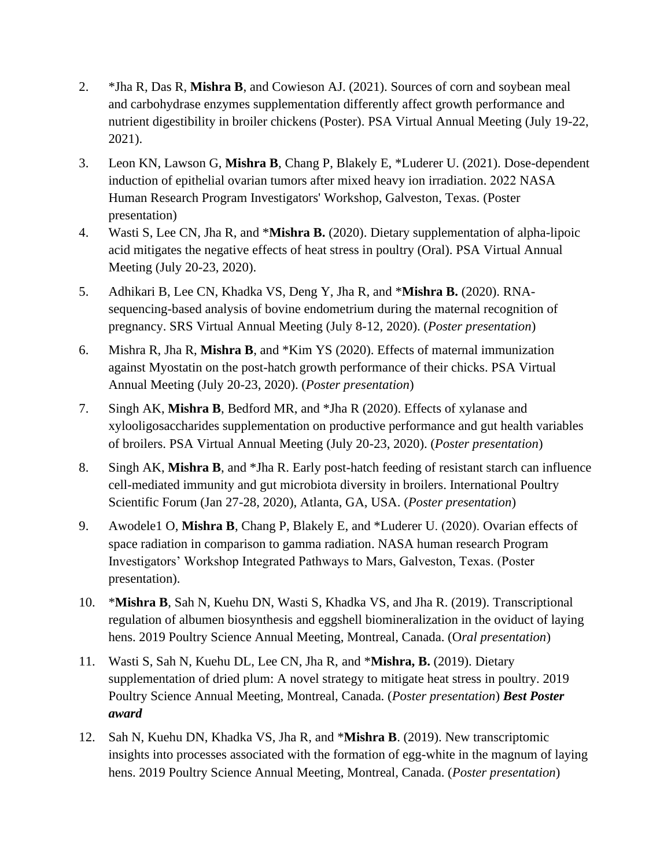- 2. \*Jha R, Das R, **Mishra B**, and Cowieson AJ. (2021). Sources of corn and soybean meal and carbohydrase enzymes supplementation differently affect growth performance and nutrient digestibility in broiler chickens (Poster). PSA Virtual Annual Meeting (July 19-22, 2021).
- 3. Leon KN, Lawson G, **Mishra B**, Chang P, Blakely E, \*Luderer U. (2021). Dose-dependent induction of epithelial ovarian tumors after mixed heavy ion irradiation. 2022 NASA Human Research Program Investigators' Workshop, Galveston, Texas. (Poster presentation)
- 4. Wasti S, Lee CN, Jha R, and \***Mishra B.** (2020). Dietary supplementation of alpha-lipoic acid mitigates the negative effects of heat stress in poultry (Oral). PSA Virtual Annual Meeting (July 20-23, 2020).
- 5. Adhikari B, Lee CN, Khadka VS, Deng Y, Jha R, and \***Mishra B.** (2020). RNAsequencing-based analysis of bovine endometrium during the maternal recognition of pregnancy. SRS Virtual Annual Meeting (July 8-12, 2020). (*Poster presentation*)
- 6. Mishra R, Jha R, **Mishra B**, and \*Kim YS (2020). Effects of maternal immunization against Myostatin on the post-hatch growth performance of their chicks. PSA Virtual Annual Meeting (July 20-23, 2020). (*Poster presentation*)
- 7. Singh AK, **Mishra B**, Bedford MR, and \*Jha R (2020). Effects of xylanase and xylooligosaccharides supplementation on productive performance and gut health variables of broilers. PSA Virtual Annual Meeting (July 20-23, 2020). (*Poster presentation*)
- 8. Singh AK, **Mishra B**, and \*Jha R. Early post-hatch feeding of resistant starch can influence cell-mediated immunity and gut microbiota diversity in broilers. International Poultry Scientific Forum (Jan 27-28, 2020), Atlanta, GA, USA. (*Poster presentation*)
- 9. Awodele1 O, **Mishra B**, Chang P, Blakely E, and \*Luderer U. (2020). Ovarian effects of space radiation in comparison to gamma radiation. NASA human research Program Investigators' Workshop Integrated Pathways to Mars, Galveston, Texas. (Poster presentation).
- 10. \***Mishra B**, Sah N, Kuehu DN, Wasti S, Khadka VS, and Jha R. (2019). Transcriptional regulation of albumen biosynthesis and eggshell biomineralization in the oviduct of laying hens. 2019 Poultry Science Annual Meeting, Montreal, Canada. (O*ral presentation*)
- 11. Wasti S, Sah N, Kuehu DL, Lee CN, Jha R, and \***Mishra, B.** (2019). Dietary supplementation of dried plum: A novel strategy to mitigate heat stress in poultry. 2019 Poultry Science Annual Meeting, Montreal, Canada. (*Poster presentation*) *Best Poster award*
- 12. Sah N, Kuehu DN, Khadka VS, Jha R, and \***Mishra B**. (2019). New transcriptomic insights into processes associated with the formation of egg-white in the magnum of laying hens. 2019 Poultry Science Annual Meeting, Montreal, Canada. (*Poster presentation*)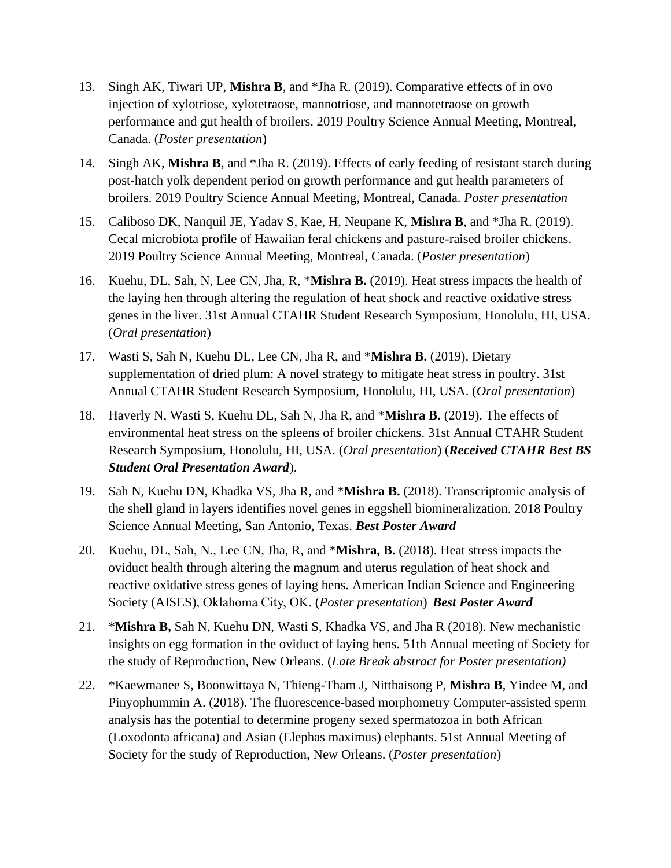- 13. Singh AK, Tiwari UP, **Mishra B**, and \*Jha R. (2019). Comparative effects of in ovo injection of xylotriose, xylotetraose, mannotriose, and mannotetraose on growth performance and gut health of broilers. 2019 Poultry Science Annual Meeting, Montreal, Canada. (*Poster presentation*)
- 14. Singh AK, **Mishra B**, and \*Jha R. (2019). Effects of early feeding of resistant starch during post-hatch yolk dependent period on growth performance and gut health parameters of broilers. 2019 Poultry Science Annual Meeting, Montreal, Canada. *Poster presentation*
- 15. Caliboso DK, Nanquil JE, Yadav S, Kae, H, Neupane K, **Mishra B**, and \*Jha R. (2019). Cecal microbiota profile of Hawaiian feral chickens and pasture-raised broiler chickens. 2019 Poultry Science Annual Meeting, Montreal, Canada. (*Poster presentation*)
- 16. Kuehu, DL, Sah, N, Lee CN, Jha, R, \***Mishra B.** (2019). Heat stress impacts the health of the laying hen through altering the regulation of heat shock and reactive oxidative stress genes in the liver. 31st Annual CTAHR Student Research Symposium, Honolulu, HI, USA. (*Oral presentation*)
- 17. Wasti S, Sah N, Kuehu DL, Lee CN, Jha R, and \***Mishra B.** (2019). Dietary supplementation of dried plum: A novel strategy to mitigate heat stress in poultry. 31st Annual CTAHR Student Research Symposium, Honolulu, HI, USA. (*Oral presentation*)
- 18. Haverly N, Wasti S, Kuehu DL, Sah N, Jha R, and \***Mishra B.** (2019). The effects of environmental heat stress on the spleens of broiler chickens. 31st Annual CTAHR Student Research Symposium, Honolulu, HI, USA. (*Oral presentation*) (*Received CTAHR Best BS Student Oral Presentation Award*).
- 19. Sah N, Kuehu DN, Khadka VS, Jha R, and \***Mishra B.** (2018). Transcriptomic analysis of the shell gland in layers identifies novel genes in eggshell biomineralization. 2018 Poultry Science Annual Meeting, San Antonio, Texas. *Best Poster Award*
- 20. Kuehu, DL, Sah, N., Lee CN, Jha, R, and \***Mishra, B.** (2018). Heat stress impacts the oviduct health through altering the magnum and uterus regulation of heat shock and reactive oxidative stress genes of laying hens. American Indian Science and Engineering Society (AISES), Oklahoma City, OK. (*Poster presentation*) *Best Poster Award*
- 21. \***Mishra B,** Sah N, Kuehu DN, Wasti S, Khadka VS, and Jha R (2018). New mechanistic insights on egg formation in the oviduct of laying hens. 51th Annual meeting of Society for the study of Reproduction, New Orleans. (*Late Break abstract for Poster presentation)*
- 22. \*Kaewmanee S, Boonwittaya N, Thieng-Tham J, Nitthaisong P, **Mishra B**, Yindee M, and Pinyophummin A. (2018). The fluorescence-based morphometry Computer-assisted sperm analysis has the potential to determine progeny sexed spermatozoa in both African (Loxodonta africana) and Asian (Elephas maximus) elephants. 51st Annual Meeting of Society for the study of Reproduction, New Orleans. (*Poster presentation*)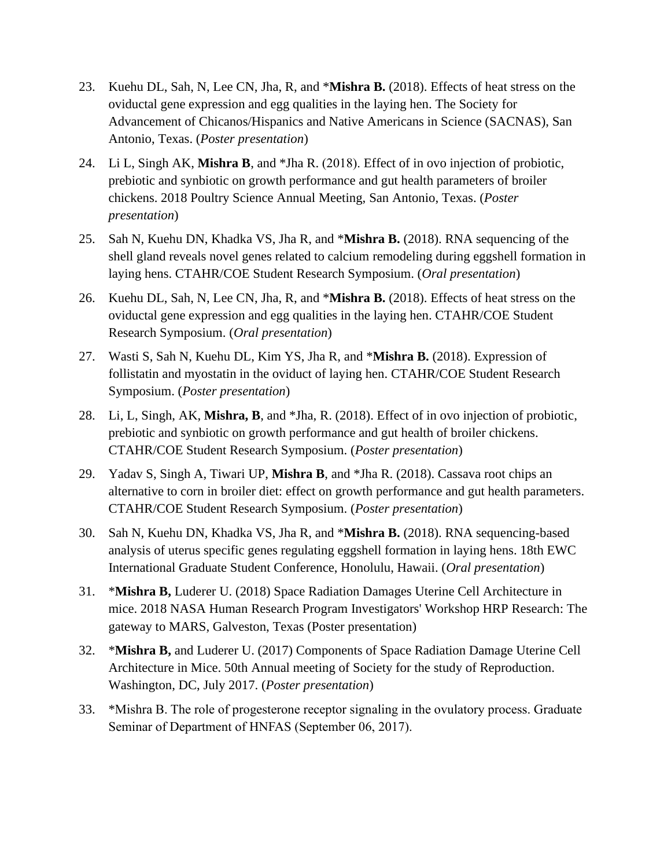- 23. Kuehu DL, Sah, N, Lee CN, Jha, R, and \***Mishra B.** (2018). Effects of heat stress on the oviductal gene expression and egg qualities in the laying hen. The Society for Advancement of Chicanos/Hispanics and Native Americans in Science (SACNAS), San Antonio, Texas. (*Poster presentation*)
- 24. Li L, Singh AK, **Mishra B**, and \*Jha R. (2018). Effect of in ovo injection of probiotic, prebiotic and synbiotic on growth performance and gut health parameters of broiler chickens. 2018 Poultry Science Annual Meeting, San Antonio, Texas. (*Poster presentation*)
- 25. Sah N, Kuehu DN, Khadka VS, Jha R, and \***Mishra B.** (2018). RNA sequencing of the shell gland reveals novel genes related to calcium remodeling during eggshell formation in laying hens. CTAHR/COE Student Research Symposium. (*Oral presentation*)
- 26. Kuehu DL, Sah, N, Lee CN, Jha, R, and \***Mishra B.** (2018). Effects of heat stress on the oviductal gene expression and egg qualities in the laying hen. CTAHR/COE Student Research Symposium. (*Oral presentation*)
- 27. Wasti S, Sah N, Kuehu DL, Kim YS, Jha R, and \***Mishra B.** (2018). Expression of follistatin and myostatin in the oviduct of laying hen. CTAHR/COE Student Research Symposium. (*Poster presentation*)
- 28. Li, L, Singh, AK, **Mishra, B**, and \*Jha, R. (2018). Effect of in ovo injection of probiotic, prebiotic and synbiotic on growth performance and gut health of broiler chickens. CTAHR/COE Student Research Symposium. (*Poster presentation*)
- 29. Yadav S, Singh A, Tiwari UP, **Mishra B**, and \*Jha R. (2018). Cassava root chips an alternative to corn in broiler diet: effect on growth performance and gut health parameters. CTAHR/COE Student Research Symposium. (*Poster presentation*)
- 30. Sah N, Kuehu DN, Khadka VS, Jha R, and \***Mishra B.** (2018). RNA sequencing-based analysis of uterus specific genes regulating eggshell formation in laying hens. 18th EWC International Graduate Student Conference, Honolulu, Hawaii. (*Oral presentation*)
- 31. \***Mishra B,** Luderer U. (2018) Space Radiation Damages Uterine Cell Architecture in mice. 2018 NASA Human Research Program Investigators' Workshop HRP Research: The gateway to MARS, Galveston, Texas (Poster presentation)
- 32. \***Mishra B,** and Luderer U. (2017) Components of Space Radiation Damage Uterine Cell Architecture in Mice. 50th Annual meeting of Society for the study of Reproduction. Washington, DC, July 2017. (*Poster presentation*)
- 33. \*Mishra B. The role of progesterone receptor signaling in the ovulatory process. Graduate Seminar of Department of HNFAS (September 06, 2017).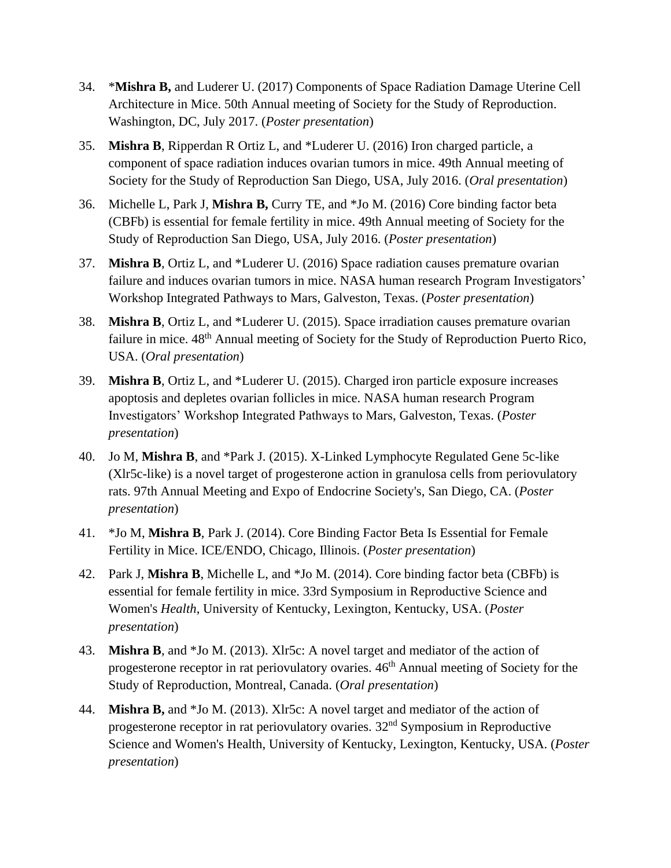- 34. \***Mishra B,** and Luderer U. (2017) Components of Space Radiation Damage Uterine Cell Architecture in Mice. 50th Annual meeting of Society for the Study of Reproduction. Washington, DC, July 2017. (*Poster presentation*)
- 35. **Mishra B**, Ripperdan R Ortiz L, and \*Luderer U. (2016) Iron charged particle, a component of space radiation induces ovarian tumors in mice. 49th Annual meeting of Society for the Study of Reproduction San Diego, USA, July 2016. (*Oral presentation*)
- 36. Michelle L, Park J, **Mishra B,** Curry TE, and \*Jo M. (2016) Core binding factor beta (CBFb) is essential for female fertility in mice. 49th Annual meeting of Society for the Study of Reproduction San Diego, USA, July 2016. (*Poster presentation*)
- 37. **Mishra B**, Ortiz L, and \*Luderer U. (2016) Space radiation causes premature ovarian failure and induces ovarian tumors in mice. NASA human research Program Investigators' Workshop Integrated Pathways to Mars, Galveston, Texas. (*Poster presentation*)
- 38. **Mishra B**, Ortiz L, and \*Luderer U. (2015). Space irradiation causes premature ovarian failure in mice.  $48<sup>th</sup>$  Annual meeting of Society for the Study of Reproduction Puerto Rico, USA. (*Oral presentation*)
- 39. **Mishra B**, Ortiz L, and \*Luderer U. (2015). Charged iron particle exposure increases apoptosis and depletes ovarian follicles in mice. NASA human research Program Investigators' Workshop Integrated Pathways to Mars, Galveston, Texas. (*Poster presentation*)
- 40. Jo M, **Mishra B**, and \*Park J. (2015). X-Linked Lymphocyte Regulated Gene 5c-like (Xlr5c-like) is a novel target of progesterone action in granulosa cells from periovulatory rats. 97th Annual Meeting and Expo of Endocrine Society's, San Diego, CA. (*Poster presentation*)
- 41. \*Jo M, **Mishra B**, Park J. (2014). Core Binding Factor Beta Is Essential for Female Fertility in Mice. ICE/ENDO, Chicago, Illinois. (*Poster presentation*)
- 42. Park J, **Mishra B**, Michelle L, and \*Jo M. (2014). Core binding factor beta (CBFb) is essential for female fertility in mice. 33rd Symposium in Reproductive Science and Women's *Health*, University of Kentucky, Lexington, Kentucky, USA. (*Poster presentation*)
- 43. **Mishra B**, and \*Jo M. (2013). Xlr5c: A novel target and mediator of the action of progesterone receptor in rat periovulatory ovaries.  $46<sup>th</sup>$  Annual meeting of Society for the Study of Reproduction, Montreal, Canada. (*Oral presentation*)
- 44. **Mishra B,** and \*Jo M. (2013). Xlr5c: A novel target and mediator of the action of progesterone receptor in rat periovulatory ovaries. 32nd Symposium in Reproductive Science and Women's Health, University of Kentucky, Lexington, Kentucky, USA. (*Poster presentation*)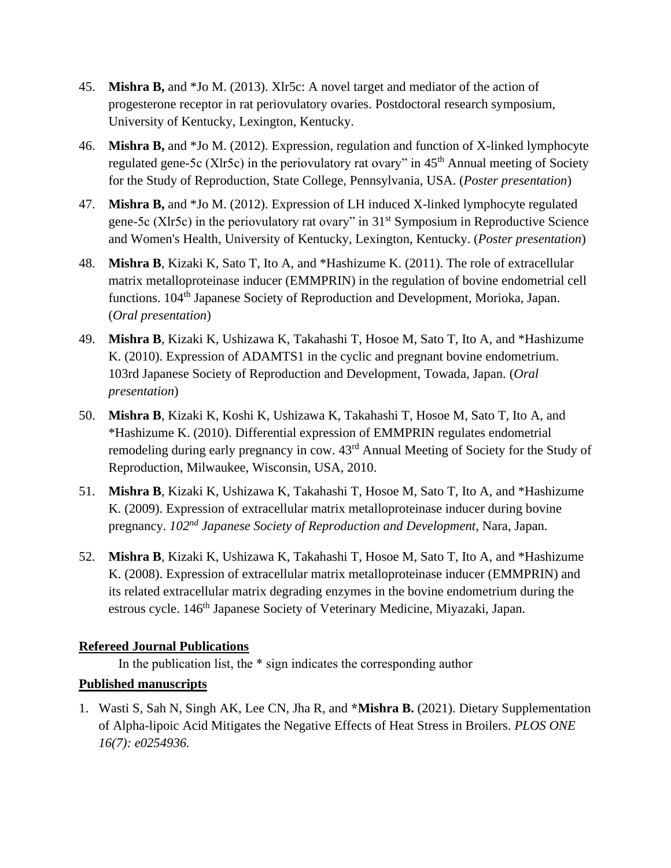- 45. **Mishra B,** and \*Jo M. (2013). Xlr5c: A novel target and mediator of the action of progesterone receptor in rat periovulatory ovaries. Postdoctoral research symposium, University of Kentucky, Lexington, Kentucky.
- 46. **Mishra B,** and \*Jo M. (2012). Expression, regulation and function of X-linked lymphocyte regulated gene-5c (Xlr5c) in the periovulatory rat ovary" in 45<sup>th</sup> Annual meeting of Society for the Study of Reproduction, State College, Pennsylvania, USA. (*Poster presentation*)
- 47. **Mishra B,** and \*Jo M. (2012). Expression of LH induced X-linked lymphocyte regulated gene-5c (Xlr5c) in the periovulatory rat ovary" in 31st Symposium in Reproductive Science and Women's Health, University of Kentucky, Lexington, Kentucky. (*Poster presentation*)
- 48. **Mishra B**, Kizaki K, Sato T, Ito A, and \*Hashizume K. (2011). The role of extracellular matrix metalloproteinase inducer (EMMPRIN) in the regulation of bovine endometrial cell functions. 104<sup>th</sup> Japanese Society of Reproduction and Development, Morioka, Japan. (*Oral presentation*)
- 49. **Mishra B**, Kizaki K, Ushizawa K, Takahashi T, Hosoe M, Sato T, Ito A, and \*Hashizume K. (2010). Expression of ADAMTS1 in the cyclic and pregnant bovine endometrium. 103rd Japanese Society of Reproduction and Development, Towada, Japan. (*Oral presentation*)
- 50. **Mishra B**, Kizaki K, Koshi K, Ushizawa K, Takahashi T, Hosoe M, Sato T, Ito A, and \*Hashizume K. (2010). Differential expression of EMMPRIN regulates endometrial remodeling during early pregnancy in cow. 43rd Annual Meeting of Society for the Study of Reproduction, Milwaukee, Wisconsin, USA, 2010.
- 51. **Mishra B**, Kizaki K, Ushizawa K, Takahashi T, Hosoe M, Sato T, Ito A, and \*Hashizume K. (2009). Expression of extracellular matrix metalloproteinase inducer during bovine pregnancy. *102nd Japanese Society of Reproduction and Development*, Nara, Japan.
- 52. **Mishra B**, Kizaki K, Ushizawa K, Takahashi T, Hosoe M, Sato T, Ito A, and \*Hashizume K. (2008). Expression of extracellular matrix metalloproteinase inducer (EMMPRIN) and its related extracellular matrix degrading enzymes in the bovine endometrium during the estrous cycle. 146<sup>th</sup> Japanese Society of Veterinary Medicine, Miyazaki, Japan.

# **Refereed Journal Publications**

In the publication list, the \* sign indicates the corresponding author

# **Published manuscripts**

1. Wasti S, Sah N, Singh AK, Lee CN, Jha R, and **\*Mishra B.** (2021). Dietary Supplementation of Alpha-lipoic Acid Mitigates the Negative Effects of Heat Stress in Broilers. *PLOS ONE 16(7): e0254936.*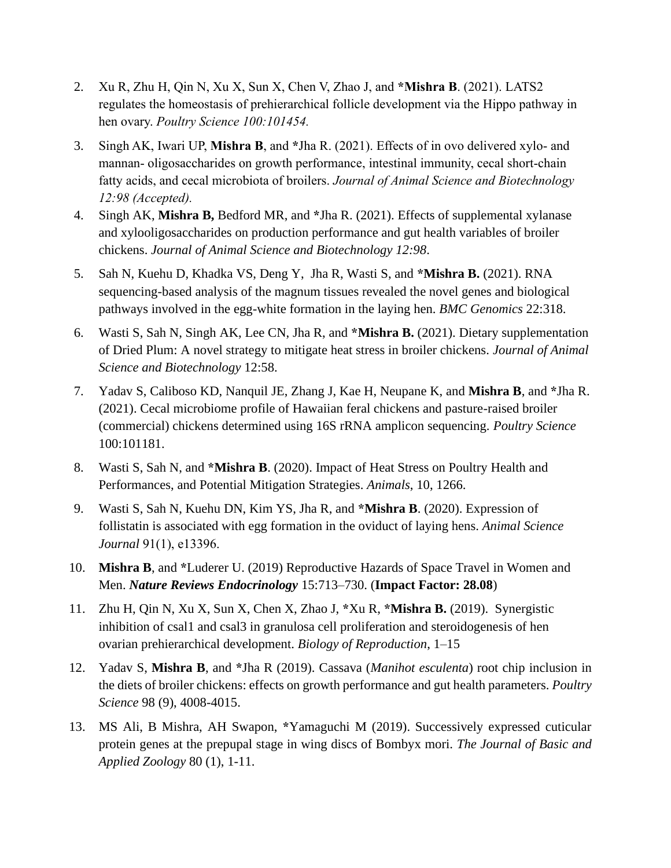- 2. Xu R, Zhu H, Qin N, Xu X, Sun X, Chen V, Zhao J, and **\*Mishra B**. (2021). LATS2 regulates the homeostasis of prehierarchical follicle development via the Hippo pathway in hen ovary. *Poultry Science 100:101454.*
- 3. Singh AK, Iwari UP, **Mishra B**, and **\***Jha R. (2021). Effects of in ovo delivered xylo- and mannan- oligosaccharides on growth performance, intestinal immunity, cecal short-chain fatty acids, and cecal microbiota of broilers. *Journal of Animal Science and Biotechnology 12:98 (Accepted).*
- 4. Singh AK, **Mishra B,** Bedford MR, and **\***Jha R. (2021). Effects of supplemental xylanase and xylooligosaccharides on production performance and gut health variables of broiler chickens. *Journal of Animal Science and Biotechnology 12:98*.
- 5. Sah N, Kuehu D, Khadka VS, Deng Y, Jha R, Wasti S, and **\*Mishra B.** (2021). RNA sequencing-based analysis of the magnum tissues revealed the novel genes and biological pathways involved in the egg-white formation in the laying hen. *BMC Genomics* 22:318.
- 6. Wasti S, Sah N, Singh AK, Lee CN, Jha R, and **\*Mishra B.** (2021). Dietary supplementation of Dried Plum: A novel strategy to mitigate heat stress in broiler chickens. *Journal of Animal Science and Biotechnology* 12:58.
- 7. Yadav S, Caliboso KD, Nanquil JE, Zhang J, Kae H, Neupane K, and **Mishra B**, and **\***Jha R. (2021). Cecal microbiome profile of Hawaiian feral chickens and pasture-raised broiler (commercial) chickens determined using 16S rRNA amplicon sequencing. *Poultry Science* 100:101181.
- 8. Wasti S, Sah N, and **\*Mishra B**. (2020). Impact of Heat Stress on Poultry Health and Performances, and Potential Mitigation Strategies. *Animals*, 10, 1266.
- 9. Wasti S, Sah N, Kuehu DN, Kim YS, Jha R, and **\*Mishra B**. (2020). Expression of follistatin is associated with egg formation in the oviduct of laying hens. *Animal Science Journal* 91(1), e13396.
- 10. **Mishra B**, and **\***Luderer U. (2019) Reproductive Hazards of Space Travel in Women and Men. *Nature Reviews Endocrinology* 15:713–730. (**Impact Factor: 28.08**)
- 11. Zhu H, Qin N, Xu X, Sun X, Chen X, Zhao J, **\***Xu R, **\*Mishra B.** (2019). Synergistic inhibition of csal1 and csal3 in granulosa cell proliferation and steroidogenesis of hen ovarian prehierarchical development. *Biology of Reproduction*, 1–15
- 12. Yadav S, **Mishra B**, and **\***Jha R (2019). Cassava (*Manihot esculenta*) root chip inclusion in the diets of broiler chickens: effects on growth performance and gut health parameters. *Poultry Science* 98 (9), 4008-4015.
- 13. MS Ali, B Mishra, AH Swapon, **\***Yamaguchi M (2019). Successively expressed cuticular protein genes at the prepupal stage in wing discs of Bombyx mori. *The Journal of Basic and Applied Zoology* 80 (1), 1-11.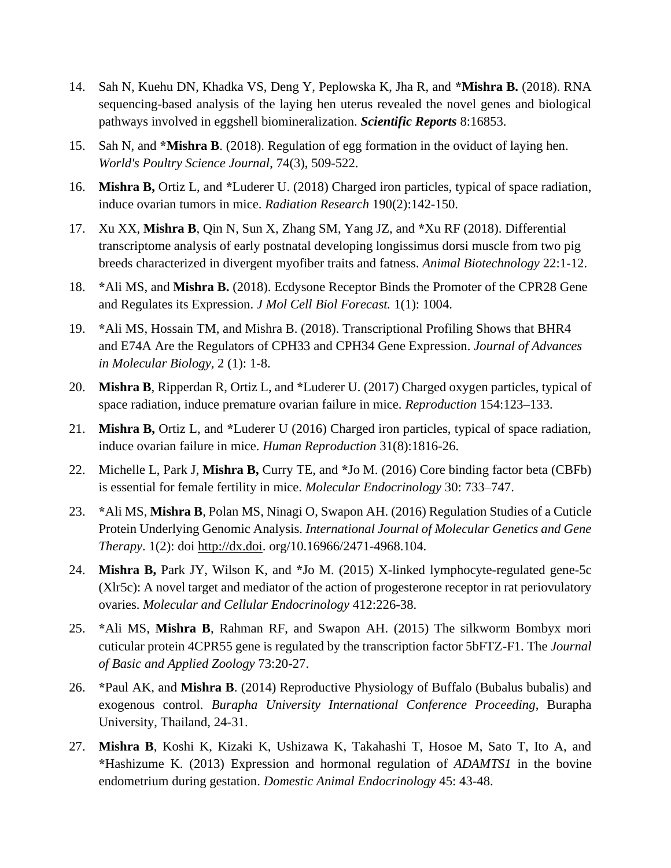- 14. Sah N, Kuehu DN, Khadka VS, Deng Y, Peplowska K, Jha R, and **\*Mishra B.** (2018). RNA sequencing-based analysis of the laying hen uterus revealed the novel genes and biological pathways involved in eggshell biomineralization. *Scientific Reports* 8:16853.
- 15. Sah N, and **\*Mishra B**. (2018). Regulation of egg formation in the oviduct of laying hen. *World's Poultry Science Journal*, 74(3), 509-522.
- 16. **Mishra B,** Ortiz L, and **\***Luderer U. (2018) Charged iron particles, typical of space radiation, induce ovarian tumors in mice. *Radiation Research* 190(2):142-150.
- 17. Xu XX, **Mishra B**, Qin N, Sun X, Zhang SM, Yang JZ, and **\***Xu RF (2018). Differential transcriptome analysis of early postnatal developing longissimus dorsi muscle from two pig breeds characterized in divergent myofiber traits and fatness. *Animal Biotechnology* 22:1-12.
- 18. **\***Ali MS, and **Mishra B.** (2018). Ecdysone Receptor Binds the Promoter of the CPR28 Gene and Regulates its Expression. *J Mol Cell Biol Forecast.* 1(1): 1004.
- 19. **\***Ali MS, Hossain TM, and Mishra B. (2018). Transcriptional Profiling Shows that BHR4 and E74A Are the Regulators of CPH33 and CPH34 Gene Expression. *Journal of Advances in Molecular Biology,* 2 (1): 1-8.
- 20. **Mishra B**, Ripperdan R, Ortiz L, and **\***Luderer U. (2017) Charged oxygen particles, typical of space radiation, induce premature ovarian failure in mice. *Reproduction* 154:123–133.
- 21. **Mishra B,** Ortiz L, and **\***Luderer U (2016) Charged iron particles, typical of space radiation, induce ovarian failure in mice. *Human Reproduction* 31(8):1816-26.
- 22. Michelle L, Park J, **Mishra B,** Curry TE, and **\***Jo M. (2016) Core binding factor beta (CBFb) is essential for female fertility in mice. *Molecular Endocrinology* 30: 733–747.
- 23. **\***Ali MS, **Mishra B**, Polan MS, Ninagi O, Swapon AH. (2016) Regulation Studies of a Cuticle Protein Underlying Genomic Analysis. *International Journal of Molecular Genetics and Gene Therapy*. 1(2): doi [http://dx.doi.](http://dx.doi/) org/10.16966/2471-4968.104.
- 24. **Mishra B,** Park JY, Wilson K, and **\***Jo M. (2015) X-linked lymphocyte-regulated gene-5c (Xlr5c): A novel target and mediator of the action of progesterone receptor in rat periovulatory ovaries. *Molecular and Cellular Endocrinology* 412:226-38.
- 25. **\***Ali MS, **Mishra B**, Rahman RF, and Swapon AH. (2015) The silkworm Bombyx mori cuticular protein 4CPR55 gene is regulated by the transcription factor 5bFTZ-F1. The *Journal of Basic and Applied Zoology* 73:20-27.
- 26. **\***Paul AK, and **Mishra B**. (2014) Reproductive Physiology of Buffalo (Bubalus bubalis) and exogenous control. *Burapha University International Conference Proceeding*, Burapha University, Thailand, 24-31.
- 27. **Mishra B**, Koshi K, Kizaki K, Ushizawa K, Takahashi T, Hosoe M, Sato T, Ito A, and **\***Hashizume K. (2013) Expression and hormonal regulation of *ADAMTS1* in the bovine endometrium during gestation. *Domestic Animal Endocrinology* 45: 43-48.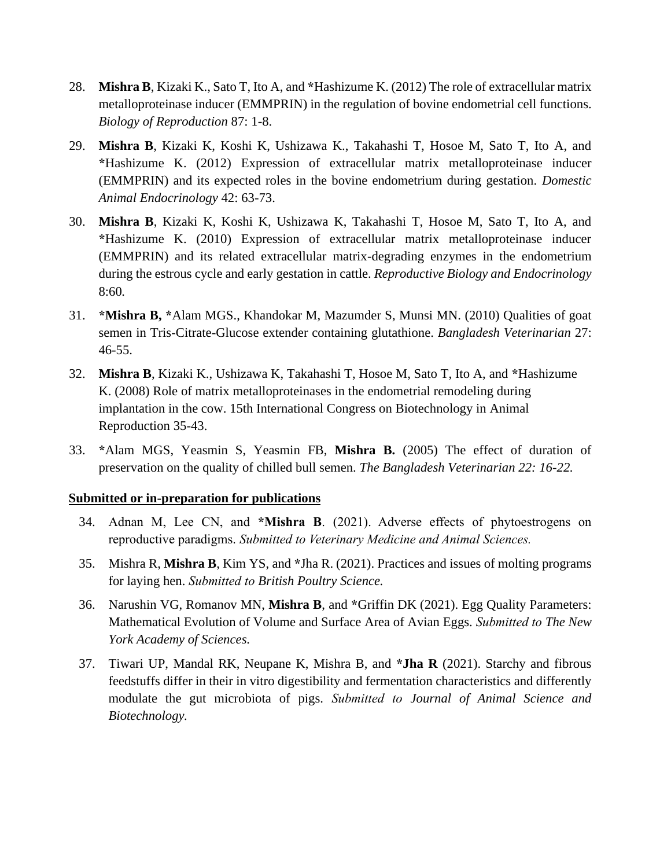- 28. **Mishra B**, Kizaki K., Sato T, Ito A, and **\***Hashizume K. (2012) The role of extracellular matrix metalloproteinase inducer (EMMPRIN) in the regulation of bovine endometrial cell functions. *Biology of Reproduction* 87: 1-8.
- 29. **Mishra B**, Kizaki K, Koshi K, Ushizawa K., Takahashi T, Hosoe M, Sato T, Ito A, and **\***Hashizume K. (2012) Expression of extracellular matrix metalloproteinase inducer (EMMPRIN) and its expected roles in the bovine endometrium during gestation. *Domestic Animal Endocrinology* 42: 63-73.
- 30. **Mishra B**, Kizaki K, Koshi K, Ushizawa K, Takahashi T, Hosoe M, Sato T, Ito A, and **\***Hashizume K. (2010) Expression of extracellular matrix metalloproteinase inducer (EMMPRIN) and its related extracellular matrix-degrading enzymes in the endometrium during the estrous cycle and early gestation in cattle. *Reproductive Biology and Endocrinology*  8:60*.*
- 31. **\*Mishra B, \***Alam MGS., Khandokar M, Mazumder S, Munsi MN. (2010) Qualities of goat semen in Tris-Citrate-Glucose extender containing glutathione. *Bangladesh Veterinarian* 27: 46-55.
- 32. **Mishra B**, Kizaki K., Ushizawa K, Takahashi T, Hosoe M, Sato T, Ito A, and **\***Hashizume K. (2008) Role of matrix metalloproteinases in the endometrial remodeling during implantation in the cow. 15th International Congress on Biotechnology in Animal Reproduction 35-43.
- 33. **\***Alam MGS, Yeasmin S, Yeasmin FB, **Mishra B.** (2005) The effect of duration of preservation on the quality of chilled bull semen. *The Bangladesh Veterinarian 22: 16-22.*

#### **Submitted or in-preparation for publications**

- 34. Adnan M, Lee CN, and **\*Mishra B**. (2021). Adverse effects of phytoestrogens on reproductive paradigms. *Submitted to Veterinary Medicine and Animal Sciences.*
- 35. Mishra R, **Mishra B**, Kim YS, and **\***Jha R. (2021). Practices and issues of molting programs for laying hen. *Submitted to British Poultry Science.*
- 36. Narushin VG, Romanov MN, **Mishra B**, and **\***Griffin DK (2021). Egg Quality Parameters: Mathematical Evolution of Volume and Surface Area of Avian Eggs. *Submitted to The New York Academy of Sciences.*
- 37. Tiwari UP, Mandal RK, Neupane K, Mishra B, and **\*Jha R** (2021). Starchy and fibrous feedstuffs differ in their in vitro digestibility and fermentation characteristics and differently modulate the gut microbiota of pigs. *Submitted to Journal of Animal Science and Biotechnology.*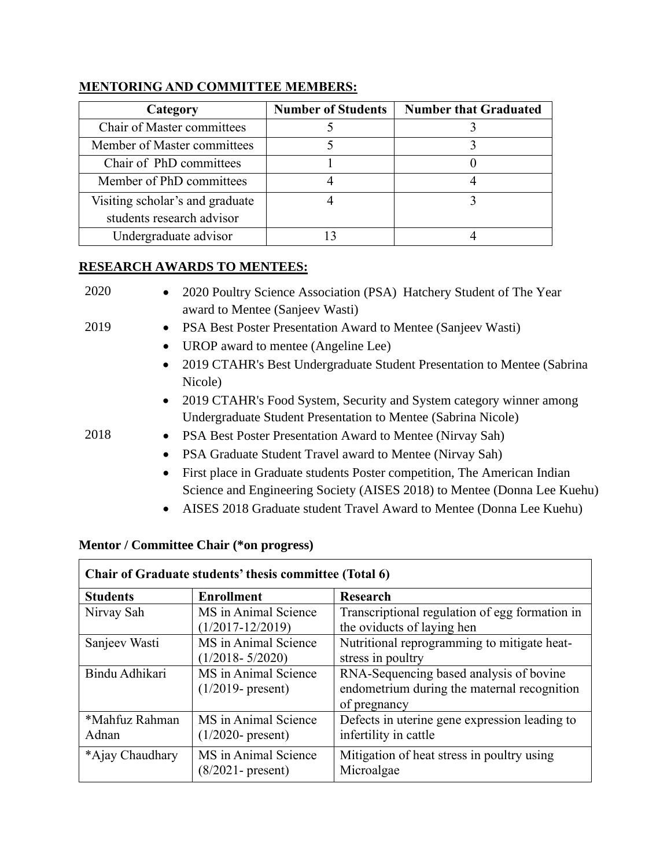| Category                        | <b>Number of Students</b> | <b>Number that Graduated</b> |
|---------------------------------|---------------------------|------------------------------|
| Chair of Master committees      |                           |                              |
| Member of Master committees     |                           |                              |
| Chair of PhD committees         |                           |                              |
| Member of PhD committees        |                           |                              |
| Visiting scholar's and graduate |                           |                              |
| students research advisor       |                           |                              |
| Undergraduate advisor           |                           |                              |

# **MENTORING AND COMMITTEE MEMBERS:**

### **RESEARCH AWARDS TO MENTEES:**

| 2020 | 2020 Poultry Science Association (PSA) Hatchery Student of The Year<br>$\bullet$<br>award to Mentee (Sanjeev Wasti) |
|------|---------------------------------------------------------------------------------------------------------------------|
| 2019 | PSA Best Poster Presentation Award to Mentee (Sanjeev Wasti)<br>$\bullet$                                           |
|      | UROP award to mentee (Angeline Lee)<br>$\bullet$                                                                    |
|      | 2019 CTAHR's Best Undergraduate Student Presentation to Mentee (Sabrina<br>$\bullet$                                |
|      | Nicole)                                                                                                             |
|      | 2019 CTAHR's Food System, Security and System category winner among<br>$\bullet$                                    |
|      | Undergraduate Student Presentation to Mentee (Sabrina Nicole)                                                       |
| 2018 | PSA Best Poster Presentation Award to Mentee (Nirvay Sah)<br>$\bullet$                                              |
|      | PSA Graduate Student Travel award to Mentee (Nirvay Sah)<br>$\bullet$                                               |
|      | First place in Graduate students Poster competition, The American Indian<br>$\bullet$                               |
|      | Science and Engineering Society (AISES 2018) to Mentee (Donna Lee Kuehu)                                            |

• AISES 2018 Graduate student Travel Award to Mentee (Donna Lee Kuehu)

# **Mentor / Committee Chair (\*on progress)**

| Chair of Graduate students' thesis committee (Total 6) |                      |                                                |  |
|--------------------------------------------------------|----------------------|------------------------------------------------|--|
| <b>Students</b>                                        | <b>Enrollment</b>    | <b>Research</b>                                |  |
| Nirvay Sah                                             | MS in Animal Science | Transcriptional regulation of egg formation in |  |
|                                                        | $(1/2017 - 12/2019)$ | the oviducts of laying hen                     |  |
| Sanjeev Wasti                                          | MS in Animal Science | Nutritional reprogramming to mitigate heat-    |  |
|                                                        | $(1/2018 - 5/2020)$  | stress in poultry                              |  |
| Bindu Adhikari                                         | MS in Animal Science | RNA-Sequencing based analysis of bovine        |  |
|                                                        | $(1/2019 - present)$ | endometrium during the maternal recognition    |  |
|                                                        |                      | of pregnancy                                   |  |
| *Mahfuz Rahman                                         | MS in Animal Science | Defects in uterine gene expression leading to  |  |
| Adnan                                                  | $(1/2020 - present)$ | infertility in cattle                          |  |
| *Ajay Chaudhary                                        | MS in Animal Science | Mitigation of heat stress in poultry using     |  |
|                                                        | $(8/2021$ - present) | Microalgae                                     |  |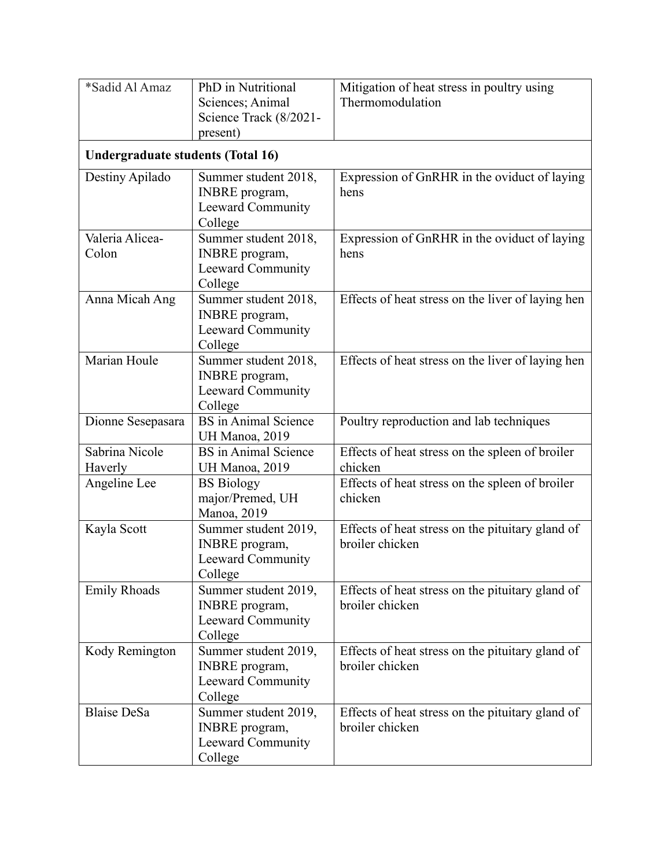| *Sadid Al Amaz                           | PhD in Nutritional<br>Sciences; Animal<br>Science Track (8/2021-<br>present)         | Mitigation of heat stress in poultry using<br>Thermomodulation      |
|------------------------------------------|--------------------------------------------------------------------------------------|---------------------------------------------------------------------|
| <b>Undergraduate students (Total 16)</b> |                                                                                      |                                                                     |
| Destiny Apilado                          | Summer student 2018,<br><b>INBRE</b> program,<br><b>Leeward Community</b><br>College | Expression of GnRHR in the oviduct of laying<br>hens                |
| Valeria Alicea-<br>Colon                 | Summer student 2018,<br><b>INBRE</b> program,<br>Leeward Community<br>College        | Expression of GnRHR in the oviduct of laying<br>hens                |
| Anna Micah Ang                           | Summer student 2018,<br><b>INBRE</b> program,<br><b>Leeward Community</b><br>College | Effects of heat stress on the liver of laying hen                   |
| Marian Houle                             | Summer student 2018,<br><b>INBRE</b> program,<br>Leeward Community<br>College        | Effects of heat stress on the liver of laying hen                   |
| Dionne Sesepasara                        | <b>BS</b> in Animal Science<br>UH Manoa, 2019                                        | Poultry reproduction and lab techniques                             |
| Sabrina Nicole<br>Haverly                | <b>BS</b> in Animal Science<br>UH Manoa, 2019                                        | Effects of heat stress on the spleen of broiler<br>chicken          |
| Angeline Lee                             | <b>BS</b> Biology<br>major/Premed, UH<br>Manoa, 2019                                 | Effects of heat stress on the spleen of broiler<br>chicken          |
| Kayla Scott                              | Summer student 2019,<br><b>INBRE</b> program,<br>Leeward Community<br>College        | Effects of heat stress on the pituitary gland of<br>broiler chicken |
| <b>Emily Rhoads</b>                      | Summer student 2019,<br><b>INBRE</b> program,<br>Leeward Community<br>College        | Effects of heat stress on the pituitary gland of<br>broiler chicken |
| Kody Remington                           | Summer student 2019,<br><b>INBRE</b> program,<br>Leeward Community<br>College        | Effects of heat stress on the pituitary gland of<br>broiler chicken |
| <b>Blaise DeSa</b>                       | Summer student 2019,<br><b>INBRE</b> program,<br>Leeward Community<br>College        | Effects of heat stress on the pituitary gland of<br>broiler chicken |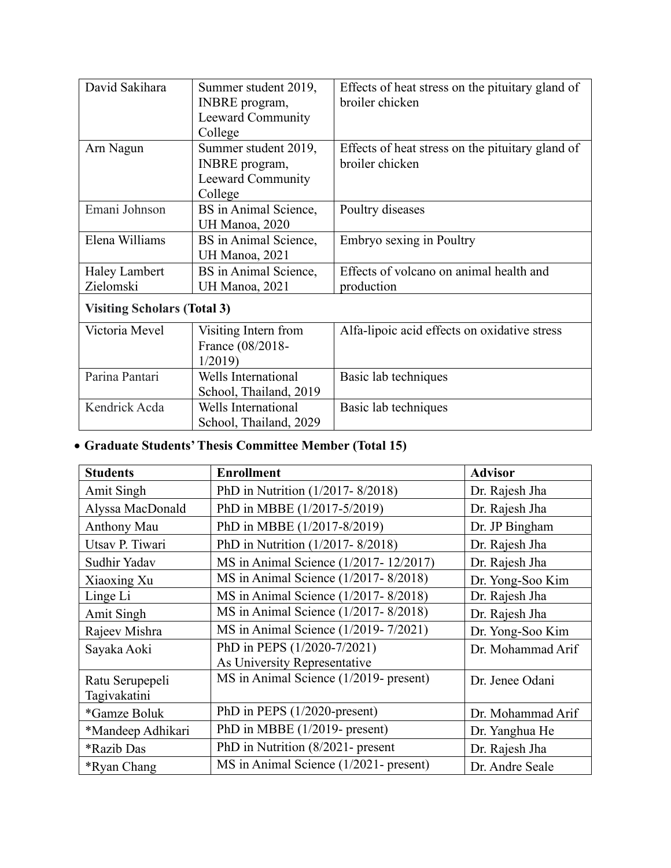| David Sakihara                     | Summer student 2019,<br><b>INBRE</b> program,<br>Leeward Community<br>College | Effects of heat stress on the pituitary gland of<br>broiler chicken |
|------------------------------------|-------------------------------------------------------------------------------|---------------------------------------------------------------------|
| Arn Nagun                          | Summer student 2019,<br><b>INBRE</b> program,<br>Leeward Community<br>College | Effects of heat stress on the pituitary gland of<br>broiler chicken |
| Emani Johnson                      | BS in Animal Science,<br>UH Manoa, 2020                                       | Poultry diseases                                                    |
| Elena Williams                     | BS in Animal Science,<br>UH Manoa, 2021                                       | Embryo sexing in Poultry                                            |
| <b>Haley Lambert</b><br>Zielomski  | BS in Animal Science,<br>UH Manoa, 2021                                       | Effects of volcano on animal health and<br>production               |
| <b>Visiting Scholars (Total 3)</b> |                                                                               |                                                                     |
| Victoria Mevel                     | Visiting Intern from<br>France (08/2018-<br>1/2019                            | Alfa-lipoic acid effects on oxidative stress                        |
| Parina Pantari                     | Wells International<br>School, Thailand, 2019                                 | Basic lab techniques                                                |
| Kendrick Acda                      | Wells International<br>School, Thailand, 2029                                 | Basic lab techniques                                                |

# • **Graduate Students' Thesis Committee Member (Total 15)**

| <b>Students</b>                 | <b>Enrollment</b>                      | <b>Advisor</b>    |
|---------------------------------|----------------------------------------|-------------------|
| Amit Singh                      | PhD in Nutrition (1/2017-8/2018)       | Dr. Rajesh Jha    |
| Alyssa MacDonald                | PhD in MBBE (1/2017-5/2019)            | Dr. Rajesh Jha    |
| Anthony Mau                     | PhD in MBBE (1/2017-8/2019)            | Dr. JP Bingham    |
| Utsav P. Tiwari                 | PhD in Nutrition (1/2017-8/2018)       | Dr. Rajesh Jha    |
| Sudhir Yadav                    | MS in Animal Science (1/2017-12/2017)  | Dr. Rajesh Jha    |
| Xiaoxing Xu                     | MS in Animal Science (1/2017-8/2018)   | Dr. Yong-Soo Kim  |
| Linge Li                        | MS in Animal Science (1/2017-8/2018)   | Dr. Rajesh Jha    |
| Amit Singh                      | MS in Animal Science (1/2017-8/2018)   | Dr. Rajesh Jha    |
| Rajeev Mishra                   | MS in Animal Science (1/2019-7/2021)   | Dr. Yong-Soo Kim  |
| Sayaka Aoki                     | PhD in PEPS (1/2020-7/2021)            | Dr. Mohammad Arif |
|                                 | As University Representative           |                   |
| Ratu Serupepeli<br>Tagivakatini | MS in Animal Science (1/2019- present) | Dr. Jenee Odani   |
| *Gamze Boluk                    | PhD in PEPS (1/2020-present)           | Dr. Mohammad Arif |
| *Mandeep Adhikari               | PhD in MBBE (1/2019- present)          | Dr. Yanghua He    |
| <i><b>*Razib Das</b></i>        | PhD in Nutrition (8/2021- present      | Dr. Rajesh Jha    |
| <i><b>*Ryan Chang</b></i>       | MS in Animal Science (1/2021- present) | Dr. Andre Seale   |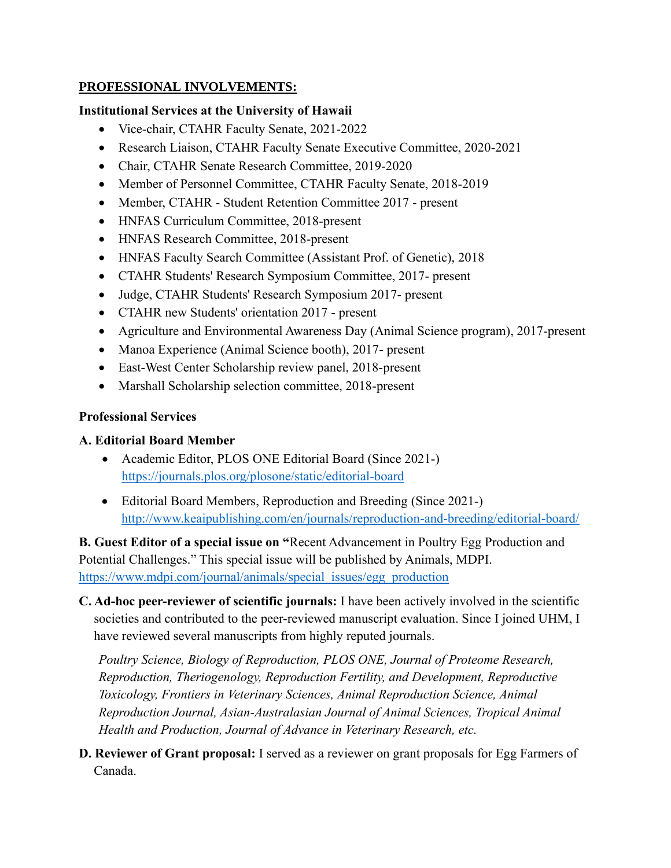### **PROFESSIONAL INVOLVEMENTS:**

### **Institutional Services at the University of Hawaii**

- Vice-chair, CTAHR Faculty Senate, 2021-2022
- Research Liaison, CTAHR Faculty Senate Executive Committee, 2020-2021
- Chair, CTAHR Senate Research Committee, 2019-2020
- Member of Personnel Committee, CTAHR Faculty Senate, 2018-2019
- Member, CTAHR Student Retention Committee 2017 present
- HNFAS Curriculum Committee, 2018-present
- HNFAS Research Committee, 2018-present
- HNFAS Faculty Search Committee (Assistant Prof. of Genetic), 2018
- CTAHR Students' Research Symposium Committee, 2017- present
- Judge, CTAHR Students' Research Symposium 2017- present
- CTAHR new Students' orientation 2017 present
- Agriculture and Environmental Awareness Day (Animal Science program), 2017-present
- Manoa Experience (Animal Science booth), 2017- present
- East-West Center Scholarship review panel, 2018-present
- Marshall Scholarship selection committee, 2018-present

# **Professional Services**

# **A. Editorial Board Member**

- Academic Editor, PLOS ONE [Editorial Board](http://journals.plos.org/plosone/static/editorial-board) (Since 2021-) <https://journals.plos.org/plosone/static/editorial-board>
- Editorial Board Members, Reproduction and Breeding (Since 2021-) <http://www.keaipublishing.com/en/journals/reproduction-and-breeding/editorial-board/>

**B. Guest Editor of a special issue on "**Recent Advancement in Poultry Egg Production and Potential Challenges." This special issue will be published by Animals, MDPI. [https://www.mdpi.com/journal/animals/special\\_issues/egg\\_production](https://www.mdpi.com/journal/animals/special_issues/egg_production)

**C. Ad-hoc peer-reviewer of scientific journals:** I have been actively involved in the scientific societies and contributed to the peer-reviewed manuscript evaluation. Since I joined UHM, I have reviewed several manuscripts from highly reputed journals.

*Poultry Science, Biology of Reproduction, PLOS ONE, Journal of Proteome Research, Reproduction, Theriogenology, Reproduction Fertility, and Development, Reproductive Toxicology, Frontiers in Veterinary Sciences, Animal Reproduction Science, Animal Reproduction Journal, Asian-Australasian Journal of Animal Sciences, Tropical Animal Health and Production, Journal of Advance in Veterinary Research, etc.*

**D. Reviewer of Grant proposal:** I served as a reviewer on grant proposals for Egg Farmers of Canada.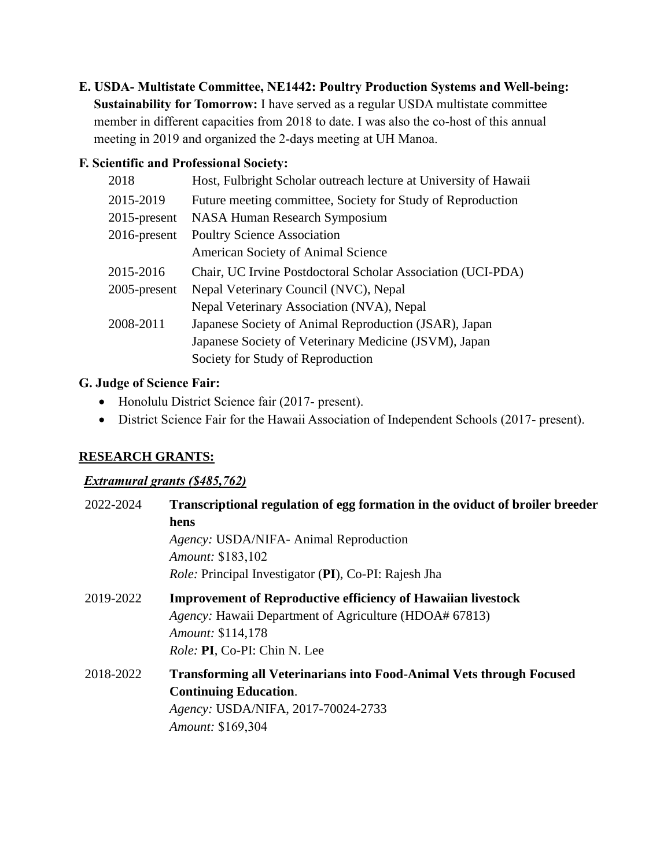**E. USDA- Multistate Committee, NE1442: Poultry Production Systems and Well-being: Sustainability for Tomorrow:** I have served as a regular USDA multistate committee member in different capacities from 2018 to date. I was also the co-host of this annual meeting in 2019 and organized the 2-days meeting at UH Manoa.

### **F. Scientific and Professional Society:**

| 2018            | Host, Fulbright Scholar outreach lecture at University of Hawaii |
|-----------------|------------------------------------------------------------------|
| 2015-2019       | Future meeting committee, Society for Study of Reproduction      |
| $2015$ -present | <b>NASA Human Research Symposium</b>                             |
| $2016$ -present | <b>Poultry Science Association</b>                               |
|                 | American Society of Animal Science                               |
| 2015-2016       | Chair, UC Irvine Postdoctoral Scholar Association (UCI-PDA)      |
| 2005-present    | Nepal Veterinary Council (NVC), Nepal                            |
|                 | Nepal Veterinary Association (NVA), Nepal                        |
| 2008-2011       | Japanese Society of Animal Reproduction (JSAR), Japan            |
|                 | Japanese Society of Veterinary Medicine (JSVM), Japan            |
|                 | Society for Study of Reproduction                                |
|                 |                                                                  |

# **G. Judge of Science Fair:**

- Honolulu District Science fair (2017- present).
- District Science Fair for the Hawaii Association of Independent Schools (2017- present).

# **RESEARCH GRANTS:**

# *Extramural grants (\$485,762)*

| 2022-2024 | Transcriptional regulation of egg formation in the oviduct of broiler breeder<br>hens<br>Agency: USDA/NIFA- Animal Reproduction<br><i>Amount:</i> \$183,102<br><i>Role:</i> Principal Investigator (PI), Co-PI: Rajesh Jha |
|-----------|----------------------------------------------------------------------------------------------------------------------------------------------------------------------------------------------------------------------------|
| 2019-2022 | <b>Improvement of Reproductive efficiency of Hawaiian livestock</b><br><i>Agency:</i> Hawaii Department of Agriculture (HDOA# 67813)<br><i>Amount:</i> \$114,178<br><i>Role: PI, Co-PI: Chin N. Lee</i>                    |
| 2018-2022 | <b>Transforming all Veterinarians into Food-Animal Vets through Focused</b><br><b>Continuing Education.</b><br>Agency: USDA/NIFA, 2017-70024-2733<br>Amount: \$169,304                                                     |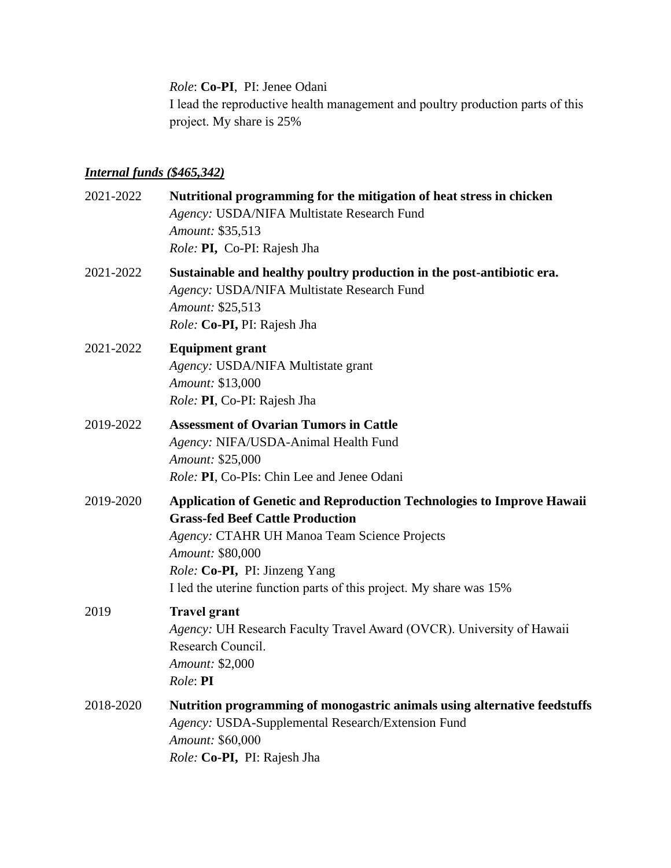*Role*: **Co-PI**, PI: Jenee Odani

I lead the reproductive health management and poultry production parts of this project. My share is 25%

# *Internal funds (\$465,342)*

| 2021-2022 | Nutritional programming for the mitigation of heat stress in chicken<br>Agency: USDA/NIFA Multistate Research Fund<br>Amount: \$35,513<br>Role: PI, Co-PI: Rajesh Jha                                                                                                                               |
|-----------|-----------------------------------------------------------------------------------------------------------------------------------------------------------------------------------------------------------------------------------------------------------------------------------------------------|
| 2021-2022 | Sustainable and healthy poultry production in the post-antibiotic era.<br>Agency: USDA/NIFA Multistate Research Fund<br>Amount: \$25,513<br>Role: Co-PI, PI: Rajesh Jha                                                                                                                             |
| 2021-2022 | <b>Equipment grant</b><br>Agency: USDA/NIFA Multistate grant<br>Amount: \$13,000<br>Role: PI, Co-PI: Rajesh Jha                                                                                                                                                                                     |
| 2019-2022 | <b>Assessment of Ovarian Tumors in Cattle</b><br>Agency: NIFA/USDA-Animal Health Fund<br>Amount: \$25,000<br>Role: PI, Co-PIs: Chin Lee and Jenee Odani                                                                                                                                             |
| 2019-2020 | <b>Application of Genetic and Reproduction Technologies to Improve Hawaii</b><br><b>Grass-fed Beef Cattle Production</b><br>Agency: CTAHR UH Manoa Team Science Projects<br>Amount: \$80,000<br>Role: Co-PI, PI: Jinzeng Yang<br>I led the uterine function parts of this project. My share was 15% |
| 2019      | <b>Travel grant</b><br>Agency: UH Research Faculty Travel Award (OVCR). University of Hawaii<br>Research Council.<br>Amount: \$2,000<br>Role: <b>PI</b>                                                                                                                                             |
| 2018-2020 | Nutrition programming of monogastric animals using alternative feedstuffs<br>Agency: USDA-Supplemental Research/Extension Fund<br>Amount: \$60,000<br>Role: Co-PI, PI: Rajesh Jha                                                                                                                   |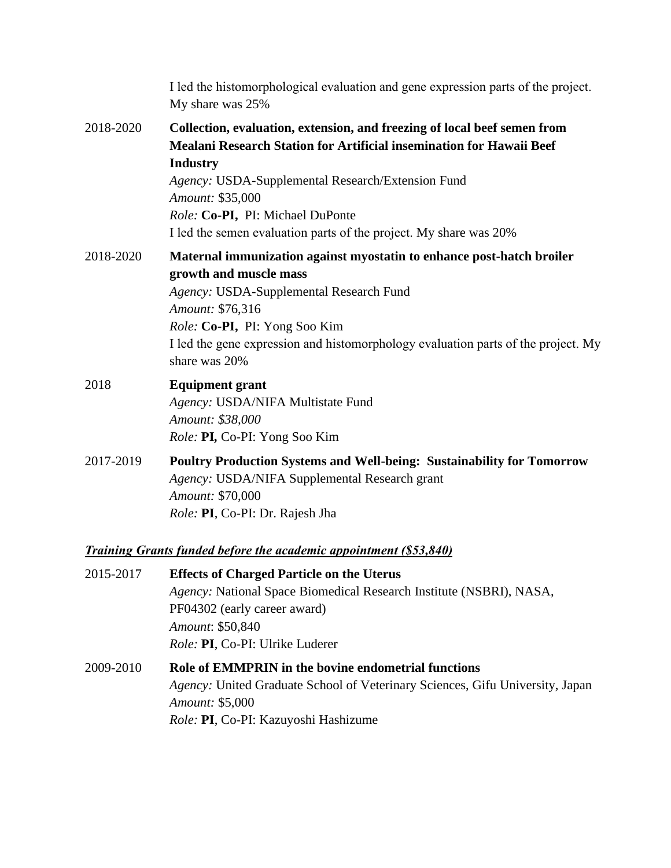|           | I led the histomorphological evaluation and gene expression parts of the project.<br>My share was 25%                                                                                                                                                                                                                                                 |
|-----------|-------------------------------------------------------------------------------------------------------------------------------------------------------------------------------------------------------------------------------------------------------------------------------------------------------------------------------------------------------|
| 2018-2020 | Collection, evaluation, extension, and freezing of local beef semen from<br>Mealani Research Station for Artificial insemination for Hawaii Beef<br><b>Industry</b><br>Agency: USDA-Supplemental Research/Extension Fund<br>Amount: \$35,000<br>Role: Co-PI, PI: Michael DuPonte<br>I led the semen evaluation parts of the project. My share was 20% |
| 2018-2020 | Maternal immunization against myostatin to enhance post-hatch broiler<br>growth and muscle mass<br>Agency: USDA-Supplemental Research Fund<br>Amount: \$76,316<br>Role: Co-PI, PI: Yong Soo Kim<br>I led the gene expression and histomorphology evaluation parts of the project. My<br>share was 20%                                                 |
| 2018      | <b>Equipment grant</b><br>Agency: USDA/NIFA Multistate Fund<br>Amount: \$38,000<br>Role: PI, Co-PI: Yong Soo Kim                                                                                                                                                                                                                                      |
| 2017-2019 | <b>Poultry Production Systems and Well-being: Sustainability for Tomorrow</b><br>Agency: USDA/NIFA Supplemental Research grant<br>Amount: \$70,000<br>Role: PI, Co-PI: Dr. Rajesh Jha                                                                                                                                                                 |

# *Training Grants funded before the academic appointment (\$53,840)*

| 2015-2017 | <b>Effects of Charged Particle on the Uterus</b>                              |
|-----------|-------------------------------------------------------------------------------|
|           | <i>Agency:</i> National Space Biomedical Research Institute (NSBRI), NASA,    |
|           | PF04302 (early career award)                                                  |
|           | Amount: \$50,840                                                              |
|           | <i>Role: PI, Co-PI: Ulrike Luderer</i>                                        |
| 2009-2010 | Role of EMMPRIN in the bovine endometrial functions                           |
|           | Agency: United Graduate School of Veterinary Sciences, Gifu University, Japan |
|           | <i>Amount:</i> \$5,000                                                        |
|           | Role: PI, Co-PI: Kazuyoshi Hashizume                                          |
|           |                                                                               |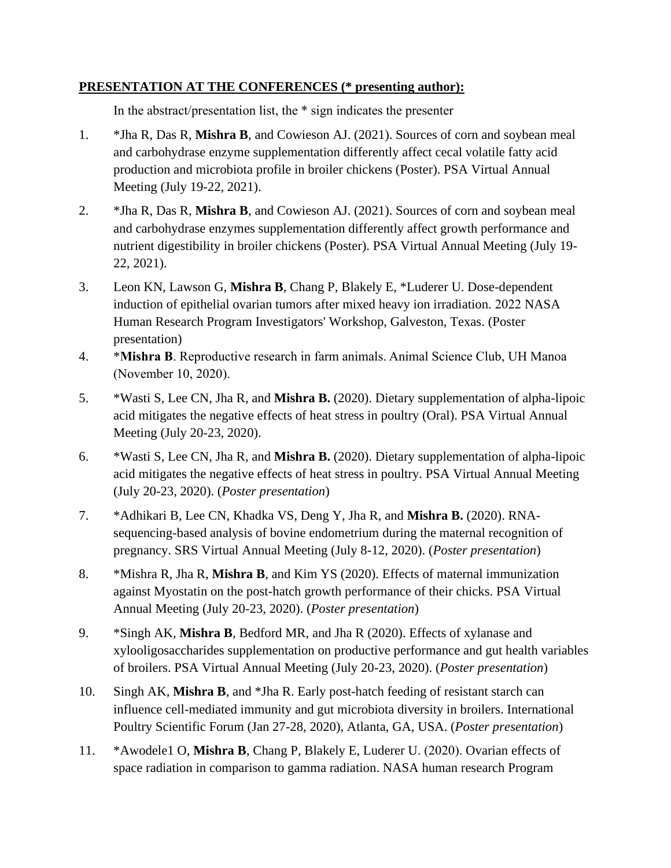### **PRESENTATION AT THE CONFERENCES (\* presenting author):**

In the abstract/presentation list, the \* sign indicates the presenter

- 1. \*Jha R, Das R, **Mishra B**, and Cowieson AJ. (2021). Sources of corn and soybean meal and carbohydrase enzyme supplementation differently affect cecal volatile fatty acid production and microbiota profile in broiler chickens (Poster). PSA Virtual Annual Meeting (July 19-22, 2021).
- 2. \*Jha R, Das R, **Mishra B**, and Cowieson AJ. (2021). Sources of corn and soybean meal and carbohydrase enzymes supplementation differently affect growth performance and nutrient digestibility in broiler chickens (Poster). PSA Virtual Annual Meeting (July 19- 22, 2021).
- 3. Leon KN, Lawson G, **Mishra B**, Chang P, Blakely E, \*Luderer U. Dose-dependent induction of epithelial ovarian tumors after mixed heavy ion irradiation. 2022 NASA Human Research Program Investigators' Workshop, Galveston, Texas. (Poster presentation)
- 4. \***Mishra B**. Reproductive research in farm animals. Animal Science Club, UH Manoa (November 10, 2020).
- 5. \*Wasti S, Lee CN, Jha R, and **Mishra B.** (2020). Dietary supplementation of alpha-lipoic acid mitigates the negative effects of heat stress in poultry (Oral). PSA Virtual Annual Meeting (July 20-23, 2020).
- 6. \*Wasti S, Lee CN, Jha R, and **Mishra B.** (2020). Dietary supplementation of alpha-lipoic acid mitigates the negative effects of heat stress in poultry. PSA Virtual Annual Meeting (July 20-23, 2020). (*Poster presentation*)
- 7. \*Adhikari B, Lee CN, Khadka VS, Deng Y, Jha R, and **Mishra B.** (2020). RNAsequencing-based analysis of bovine endometrium during the maternal recognition of pregnancy. SRS Virtual Annual Meeting (July 8-12, 2020). (*Poster presentation*)
- 8. \*Mishra R, Jha R, **Mishra B**, and Kim YS (2020). Effects of maternal immunization against Myostatin on the post-hatch growth performance of their chicks. PSA Virtual Annual Meeting (July 20-23, 2020). (*Poster presentation*)
- 9. \*Singh AK, **Mishra B**, Bedford MR, and Jha R (2020). Effects of xylanase and xylooligosaccharides supplementation on productive performance and gut health variables of broilers. PSA Virtual Annual Meeting (July 20-23, 2020). (*Poster presentation*)
- 10. Singh AK, **Mishra B**, and \*Jha R. Early post-hatch feeding of resistant starch can influence cell-mediated immunity and gut microbiota diversity in broilers. International Poultry Scientific Forum (Jan 27-28, 2020), Atlanta, GA, USA. (*Poster presentation*)
- 11. \*Awodele1 O, **Mishra B**, Chang P, Blakely E, Luderer U. (2020). Ovarian effects of space radiation in comparison to gamma radiation. NASA human research Program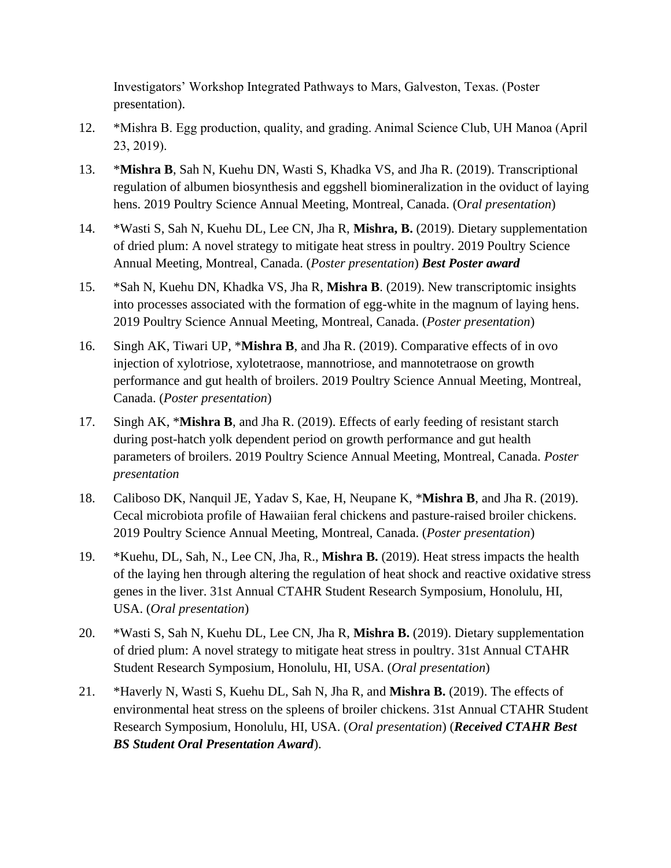Investigators' Workshop Integrated Pathways to Mars, Galveston, Texas. (Poster presentation).

- 12. \*Mishra B. Egg production, quality, and grading. Animal Science Club, UH Manoa (April 23, 2019).
- 13. \***Mishra B**, Sah N, Kuehu DN, Wasti S, Khadka VS, and Jha R. (2019). Transcriptional regulation of albumen biosynthesis and eggshell biomineralization in the oviduct of laying hens. 2019 Poultry Science Annual Meeting, Montreal, Canada. (O*ral presentation*)
- 14. \*Wasti S, Sah N, Kuehu DL, Lee CN, Jha R, **Mishra, B.** (2019). Dietary supplementation of dried plum: A novel strategy to mitigate heat stress in poultry. 2019 Poultry Science Annual Meeting, Montreal, Canada. (*Poster presentation*) *Best Poster award*
- 15. \*Sah N, Kuehu DN, Khadka VS, Jha R, **Mishra B**. (2019). New transcriptomic insights into processes associated with the formation of egg-white in the magnum of laying hens. 2019 Poultry Science Annual Meeting, Montreal, Canada. (*Poster presentation*)
- 16. Singh AK, Tiwari UP, \***Mishra B**, and Jha R. (2019). Comparative effects of in ovo injection of xylotriose, xylotetraose, mannotriose, and mannotetraose on growth performance and gut health of broilers. 2019 Poultry Science Annual Meeting, Montreal, Canada. (*Poster presentation*)
- 17. Singh AK, \***Mishra B**, and Jha R. (2019). Effects of early feeding of resistant starch during post-hatch yolk dependent period on growth performance and gut health parameters of broilers. 2019 Poultry Science Annual Meeting, Montreal, Canada. *Poster presentation*
- 18. Caliboso DK, Nanquil JE, Yadav S, Kae, H, Neupane K, \***Mishra B**, and Jha R. (2019). Cecal microbiota profile of Hawaiian feral chickens and pasture-raised broiler chickens. 2019 Poultry Science Annual Meeting, Montreal, Canada. (*Poster presentation*)
- 19. \*Kuehu, DL, Sah, N., Lee CN, Jha, R., **Mishra B.** (2019). Heat stress impacts the health of the laying hen through altering the regulation of heat shock and reactive oxidative stress genes in the liver. 31st Annual CTAHR Student Research Symposium, Honolulu, HI, USA. (*Oral presentation*)
- 20. \*Wasti S, Sah N, Kuehu DL, Lee CN, Jha R, **Mishra B.** (2019). Dietary supplementation of dried plum: A novel strategy to mitigate heat stress in poultry. 31st Annual CTAHR Student Research Symposium, Honolulu, HI, USA. (*Oral presentation*)
- 21. \*Haverly N, Wasti S, Kuehu DL, Sah N, Jha R, and **Mishra B.** (2019). The effects of environmental heat stress on the spleens of broiler chickens. 31st Annual CTAHR Student Research Symposium, Honolulu, HI, USA. (*Oral presentation*) (*Received CTAHR Best BS Student Oral Presentation Award*).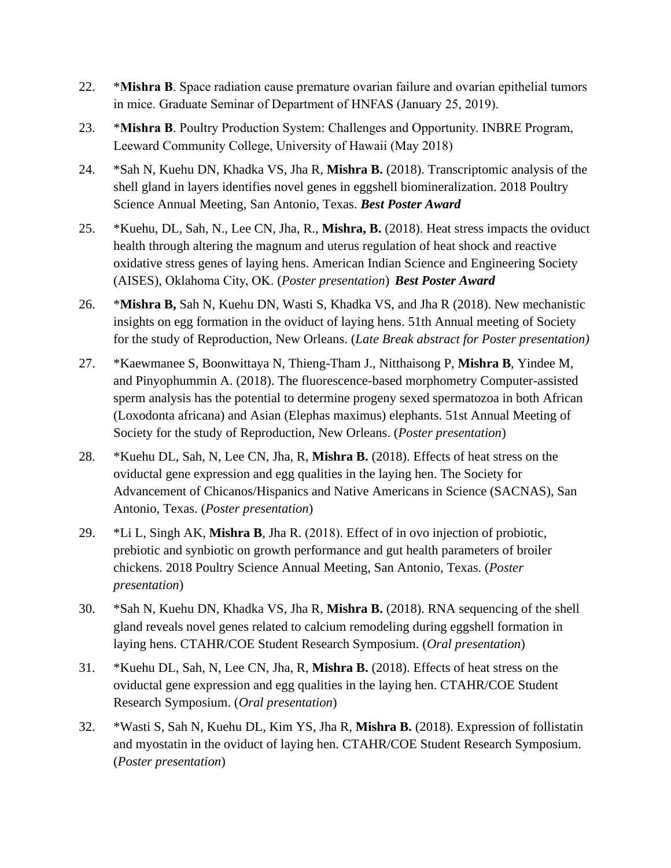- 22. \***Mishra B**. Space radiation cause premature ovarian failure and ovarian epithelial tumors in mice. Graduate Seminar of Department of HNFAS (January 25, 2019).
- 23. \***Mishra B**. Poultry Production System: Challenges and Opportunity. INBRE Program, Leeward Community College, University of Hawaii (May 2018)
- 24. \*Sah N, Kuehu DN, Khadka VS, Jha R, **Mishra B.** (2018). Transcriptomic analysis of the shell gland in layers identifies novel genes in eggshell biomineralization. 2018 Poultry Science Annual Meeting, San Antonio, Texas. *Best Poster Award*
- 25. \*Kuehu, DL, Sah, N., Lee CN, Jha, R., **Mishra, B.** (2018). Heat stress impacts the oviduct health through altering the magnum and uterus regulation of heat shock and reactive oxidative stress genes of laying hens. American Indian Science and Engineering Society (AISES), Oklahoma City, OK. (*Poster presentation*) *Best Poster Award*
- 26. \***Mishra B,** Sah N, Kuehu DN, Wasti S, Khadka VS, and Jha R (2018). New mechanistic insights on egg formation in the oviduct of laying hens. 51th Annual meeting of Society for the study of Reproduction, New Orleans. (*Late Break abstract for Poster presentation)*
- 27. \*Kaewmanee S, Boonwittaya N, Thieng-Tham J., Nitthaisong P, **Mishra B**, Yindee M, and Pinyophummin A. (2018). The fluorescence-based morphometry Computer-assisted sperm analysis has the potential to determine progeny sexed spermatozoa in both African (Loxodonta africana) and Asian (Elephas maximus) elephants. 51st Annual Meeting of Society for the study of Reproduction, New Orleans. (*Poster presentation*)
- 28. \*Kuehu DL, Sah, N, Lee CN, Jha, R, **Mishra B.** (2018). Effects of heat stress on the oviductal gene expression and egg qualities in the laying hen. The Society for Advancement of Chicanos/Hispanics and Native Americans in Science (SACNAS), San Antonio, Texas. (*Poster presentation*)
- 29. \*Li L, Singh AK, **Mishra B**, Jha R. (2018). Effect of in ovo injection of probiotic, prebiotic and synbiotic on growth performance and gut health parameters of broiler chickens. 2018 Poultry Science Annual Meeting, San Antonio, Texas. (*Poster presentation*)
- 30. \*Sah N, Kuehu DN, Khadka VS, Jha R, **Mishra B.** (2018). RNA sequencing of the shell gland reveals novel genes related to calcium remodeling during eggshell formation in laying hens. CTAHR/COE Student Research Symposium. (*Oral presentation*)
- 31. \*Kuehu DL, Sah, N, Lee CN, Jha, R, **Mishra B.** (2018). Effects of heat stress on the oviductal gene expression and egg qualities in the laying hen. CTAHR/COE Student Research Symposium. (*Oral presentation*)
- 32. \*Wasti S, Sah N, Kuehu DL, Kim YS, Jha R, **Mishra B.** (2018). Expression of follistatin and myostatin in the oviduct of laying hen. CTAHR/COE Student Research Symposium. (*Poster presentation*)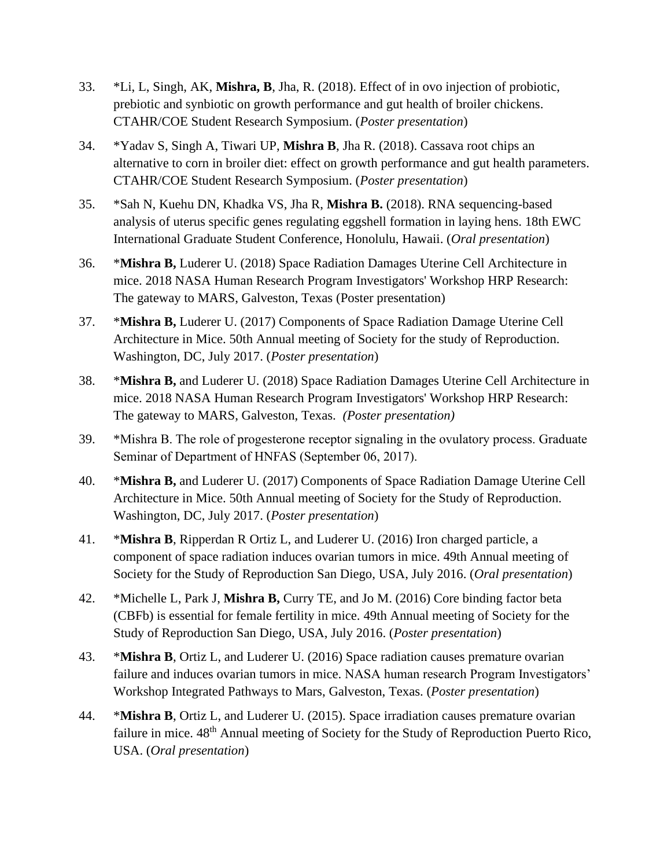- 33. \*Li, L, Singh, AK, **Mishra, B**, Jha, R. (2018). Effect of in ovo injection of probiotic, prebiotic and synbiotic on growth performance and gut health of broiler chickens. CTAHR/COE Student Research Symposium. (*Poster presentation*)
- 34. \*Yadav S, Singh A, Tiwari UP, **Mishra B**, Jha R. (2018). Cassava root chips an alternative to corn in broiler diet: effect on growth performance and gut health parameters. CTAHR/COE Student Research Symposium. (*Poster presentation*)
- 35. \*Sah N, Kuehu DN, Khadka VS, Jha R, **Mishra B.** (2018). RNA sequencing-based analysis of uterus specific genes regulating eggshell formation in laying hens. 18th EWC International Graduate Student Conference, Honolulu, Hawaii. (*Oral presentation*)
- 36. \***Mishra B,** Luderer U. (2018) Space Radiation Damages Uterine Cell Architecture in mice. 2018 NASA Human Research Program Investigators' Workshop HRP Research: The gateway to MARS, Galveston, Texas (Poster presentation)
- 37. \***Mishra B,** Luderer U. (2017) Components of Space Radiation Damage Uterine Cell Architecture in Mice. 50th Annual meeting of Society for the study of Reproduction. Washington, DC, July 2017. (*Poster presentation*)
- 38. \***Mishra B,** and Luderer U. (2018) Space Radiation Damages Uterine Cell Architecture in mice. 2018 NASA Human Research Program Investigators' Workshop HRP Research: The gateway to MARS, Galveston, Texas. *(Poster presentation)*
- 39. \*Mishra B. The role of progesterone receptor signaling in the ovulatory process. Graduate Seminar of Department of HNFAS (September 06, 2017).
- 40. \***Mishra B,** and Luderer U. (2017) Components of Space Radiation Damage Uterine Cell Architecture in Mice. 50th Annual meeting of Society for the Study of Reproduction. Washington, DC, July 2017. (*Poster presentation*)
- 41. \***Mishra B**, Ripperdan R Ortiz L, and Luderer U. (2016) Iron charged particle, a component of space radiation induces ovarian tumors in mice. 49th Annual meeting of Society for the Study of Reproduction San Diego, USA, July 2016. (*Oral presentation*)
- 42. \*Michelle L, Park J, **Mishra B,** Curry TE, and Jo M. (2016) Core binding factor beta (CBFb) is essential for female fertility in mice. 49th Annual meeting of Society for the Study of Reproduction San Diego, USA, July 2016. (*Poster presentation*)
- 43. \***Mishra B**, Ortiz L, and Luderer U. (2016) Space radiation causes premature ovarian failure and induces ovarian tumors in mice. NASA human research Program Investigators' Workshop Integrated Pathways to Mars, Galveston, Texas. (*Poster presentation*)
- 44. \***Mishra B**, Ortiz L, and Luderer U. (2015). Space irradiation causes premature ovarian failure in mice.  $48<sup>th</sup>$  Annual meeting of Society for the Study of Reproduction Puerto Rico, USA. (*Oral presentation*)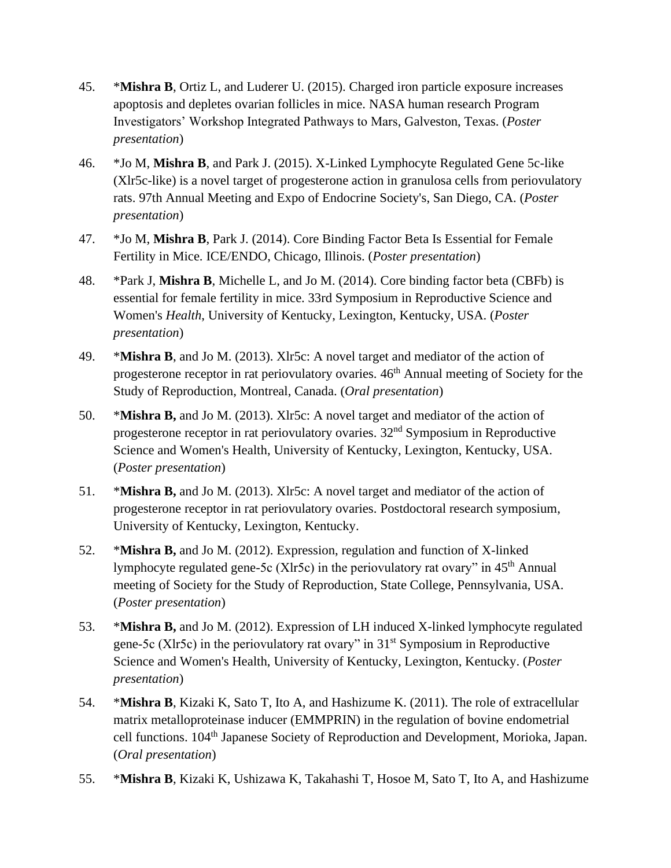- 45. \***Mishra B**, Ortiz L, and Luderer U. (2015). Charged iron particle exposure increases apoptosis and depletes ovarian follicles in mice. NASA human research Program Investigators' Workshop Integrated Pathways to Mars, Galveston, Texas. (*Poster presentation*)
- 46. \*Jo M, **Mishra B**, and Park J. (2015). X-Linked Lymphocyte Regulated Gene 5c-like (Xlr5c-like) is a novel target of progesterone action in granulosa cells from periovulatory rats. 97th Annual Meeting and Expo of Endocrine Society's, San Diego, CA. (*Poster presentation*)
- 47. \*Jo M, **Mishra B**, Park J. (2014). Core Binding Factor Beta Is Essential for Female Fertility in Mice. ICE/ENDO, Chicago, Illinois. (*Poster presentation*)
- 48. \*Park J, **Mishra B**, Michelle L, and Jo M. (2014). Core binding factor beta (CBFb) is essential for female fertility in mice. 33rd Symposium in Reproductive Science and Women's *Health*, University of Kentucky, Lexington, Kentucky, USA. (*Poster presentation*)
- 49. \***Mishra B**, and Jo M. (2013). Xlr5c: A novel target and mediator of the action of progesterone receptor in rat periovulatory ovaries.  $46<sup>th</sup>$  Annual meeting of Society for the Study of Reproduction, Montreal, Canada. (*Oral presentation*)
- 50. \***Mishra B,** and Jo M. (2013). Xlr5c: A novel target and mediator of the action of progesterone receptor in rat periovulatory ovaries. 32nd Symposium in Reproductive Science and Women's Health, University of Kentucky, Lexington, Kentucky, USA. (*Poster presentation*)
- 51. \***Mishra B,** and Jo M. (2013). Xlr5c: A novel target and mediator of the action of progesterone receptor in rat periovulatory ovaries. Postdoctoral research symposium, University of Kentucky, Lexington, Kentucky.
- 52. \***Mishra B,** and Jo M. (2012). Expression, regulation and function of X-linked lymphocyte regulated gene-5c (Xlr5c) in the periovulatory rat ovary" in 45th Annual meeting of Society for the Study of Reproduction, State College, Pennsylvania, USA. (*Poster presentation*)
- 53. \***Mishra B,** and Jo M. (2012). Expression of LH induced X-linked lymphocyte regulated gene-5c (Xlr5c) in the periovulatory rat ovary" in  $31<sup>st</sup>$  Symposium in Reproductive Science and Women's Health, University of Kentucky, Lexington, Kentucky. (*Poster presentation*)
- 54. \***Mishra B**, Kizaki K, Sato T, Ito A, and Hashizume K. (2011). The role of extracellular matrix metalloproteinase inducer (EMMPRIN) in the regulation of bovine endometrial cell functions. 104<sup>th</sup> Japanese Society of Reproduction and Development, Morioka, Japan. (*Oral presentation*)
- 55. \***Mishra B**, Kizaki K, Ushizawa K, Takahashi T, Hosoe M, Sato T, Ito A, and Hashizume